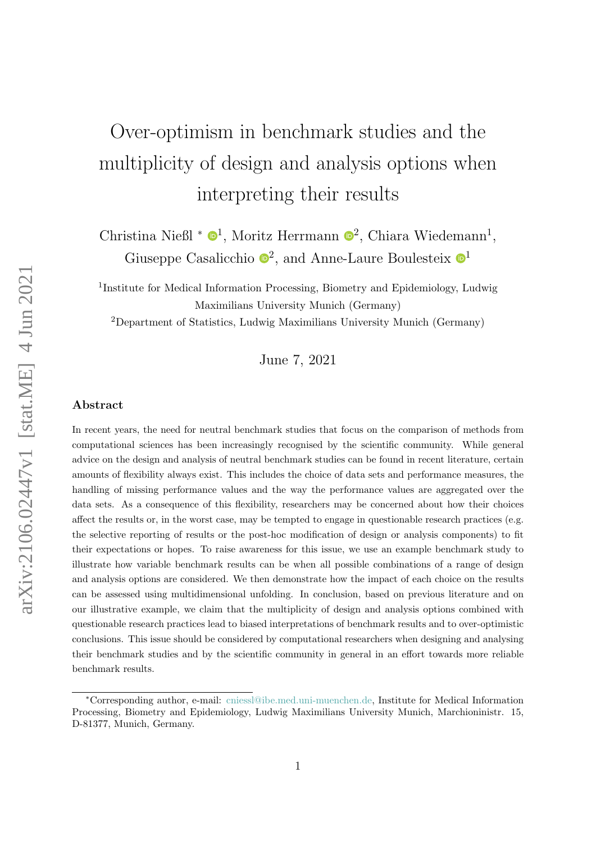# Over-optimism in benchmark studies and the multiplicity of design and analysis options when interpreting their results

Christina Nießl \*  $\mathbf{O}^1$  $\mathbf{O}^1$ , Moritz Herrmann  $\mathbf{O}^2$  $\mathbf{O}^2$ , Chiara Wiedemann<sup>1</sup>, Giuseppe Casalicchio  $\mathbb{D}^2$  $\mathbb{D}^2$ , and Anne-Laure Boulesteix  $\mathbb{D}^1$  $\mathbb{D}^1$ 

<sup>1</sup>Institute for Medical Information Processing, Biometry and Epidemiology, Ludwig Maximilians University Munich (Germany)

<sup>2</sup>Department of Statistics, Ludwig Maximilians University Munich (Germany)

June 7, 2021

#### Abstract

In recent years, the need for neutral benchmark studies that focus on the comparison of methods from computational sciences has been increasingly recognised by the scientific community. While general advice on the design and analysis of neutral benchmark studies can be found in recent literature, certain amounts of flexibility always exist. This includes the choice of data sets and performance measures, the handling of missing performance values and the way the performance values are aggregated over the data sets. As a consequence of this flexibility, researchers may be concerned about how their choices affect the results or, in the worst case, may be tempted to engage in questionable research practices (e.g. the selective reporting of results or the post-hoc modification of design or analysis components) to fit their expectations or hopes. To raise awareness for this issue, we use an example benchmark study to illustrate how variable benchmark results can be when all possible combinations of a range of design and analysis options are considered. We then demonstrate how the impact of each choice on the results can be assessed using multidimensional unfolding. In conclusion, based on previous literature and on our illustrative example, we claim that the multiplicity of design and analysis options combined with questionable research practices lead to biased interpretations of benchmark results and to over-optimistic conclusions. This issue should be considered by computational researchers when designing and analysing their benchmark studies and by the scientific community in general in an effort towards more reliable benchmark results.

<sup>∗</sup>Corresponding author, e-mail: [cniessl@ibe.med.uni-muenchen.de,](mailto:cniessl@ibe.med.uni-muenchen.de) Institute for Medical Information Processing, Biometry and Epidemiology, Ludwig Maximilians University Munich, Marchioninistr. 15, D-81377, Munich, Germany.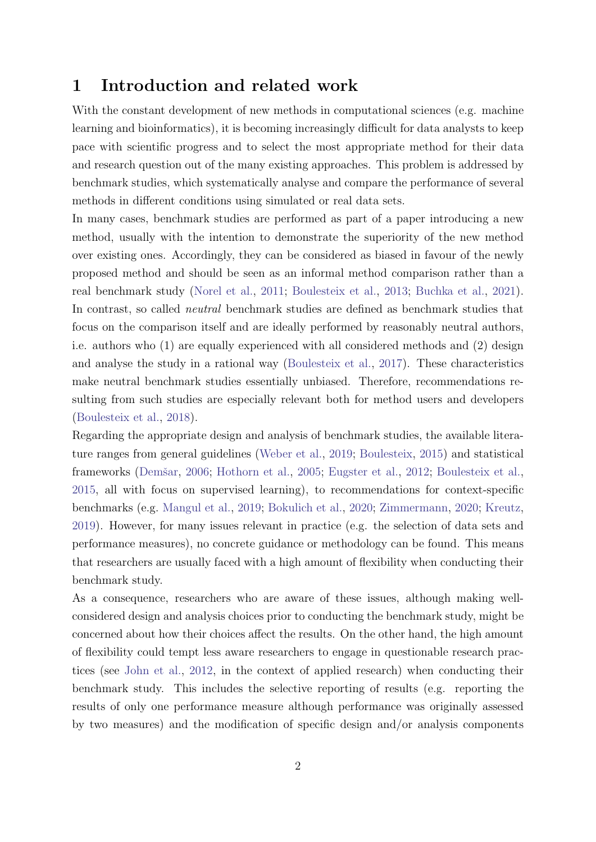## 1 Introduction and related work

With the constant development of new methods in computational sciences (e.g. machine learning and bioinformatics), it is becoming increasingly difficult for data analysts to keep pace with scientific progress and to select the most appropriate method for their data and research question out of the many existing approaches. This problem is addressed by benchmark studies, which systematically analyse and compare the performance of several methods in different conditions using simulated or real data sets.

In many cases, benchmark studies are performed as part of a paper introducing a new method, usually with the intention to demonstrate the superiority of the new method over existing ones. Accordingly, they can be considered as biased in favour of the newly proposed method and should be seen as an informal method comparison rather than a real benchmark study [\(Norel et al.,](#page-29-0) [2011;](#page-29-0) [Boulesteix et al.,](#page-26-0) [2013;](#page-26-0) [Buchka et al.,](#page-27-0) [2021\)](#page-27-0). In contrast, so called neutral benchmark studies are defined as benchmark studies that focus on the comparison itself and are ideally performed by reasonably neutral authors, i.e. authors who (1) are equally experienced with all considered methods and (2) design and analyse the study in a rational way [\(Boulesteix et al.,](#page-26-1) [2017\)](#page-26-1). These characteristics make neutral benchmark studies essentially unbiased. Therefore, recommendations resulting from such studies are especially relevant both for method users and developers [\(Boulesteix et al.,](#page-26-2) [2018\)](#page-26-2).

Regarding the appropriate design and analysis of benchmark studies, the available literature ranges from general guidelines [\(Weber et al.,](#page-30-0) [2019;](#page-30-0) [Boulesteix,](#page-26-3) [2015\)](#page-26-3) and statistical frameworks (Demšar, [2006;](#page-27-1) [Hothorn et al.,](#page-28-0) [2005;](#page-28-0) [Eugster et al.,](#page-27-2) [2012;](#page-27-2) [Boulesteix et al.,](#page-26-4) [2015,](#page-26-4) all with focus on supervised learning), to recommendations for context-specific benchmarks (e.g. [Mangul et al.,](#page-29-1) [2019;](#page-29-1) [Bokulich et al.,](#page-26-5) [2020;](#page-26-5) [Zimmermann,](#page-31-0) [2020;](#page-31-0) [Kreutz,](#page-29-2) [2019\)](#page-29-2). However, for many issues relevant in practice (e.g. the selection of data sets and performance measures), no concrete guidance or methodology can be found. This means that researchers are usually faced with a high amount of flexibility when conducting their benchmark study.

As a consequence, researchers who are aware of these issues, although making wellconsidered design and analysis choices prior to conducting the benchmark study, might be concerned about how their choices affect the results. On the other hand, the high amount of flexibility could tempt less aware researchers to engage in questionable research practices (see [John et al.,](#page-29-3) [2012,](#page-29-3) in the context of applied research) when conducting their benchmark study. This includes the selective reporting of results (e.g. reporting the results of only one performance measure although performance was originally assessed by two measures) and the modification of specific design and/or analysis components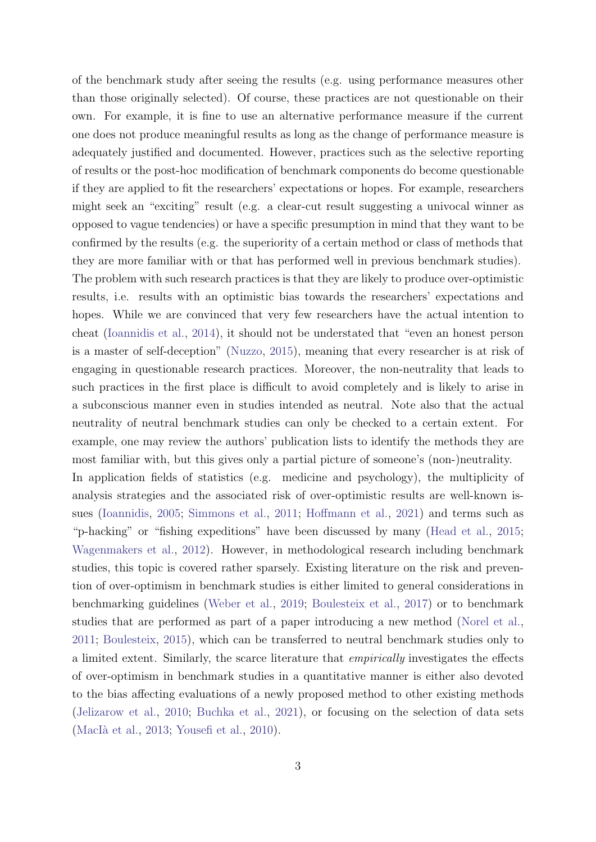of the benchmark study after seeing the results (e.g. using performance measures other than those originally selected). Of course, these practices are not questionable on their own. For example, it is fine to use an alternative performance measure if the current one does not produce meaningful results as long as the change of performance measure is adequately justified and documented. However, practices such as the selective reporting of results or the post-hoc modification of benchmark components do become questionable if they are applied to fit the researchers' expectations or hopes. For example, researchers might seek an "exciting" result (e.g. a clear-cut result suggesting a univocal winner as opposed to vague tendencies) or have a specific presumption in mind that they want to be confirmed by the results (e.g. the superiority of a certain method or class of methods that they are more familiar with or that has performed well in previous benchmark studies).

The problem with such research practices is that they are likely to produce over-optimistic results, i.e. results with an optimistic bias towards the researchers' expectations and hopes. While we are convinced that very few researchers have the actual intention to cheat [\(Ioannidis et al.,](#page-28-1) [2014\)](#page-28-1), it should not be understated that "even an honest person is a master of self-deception" [\(Nuzzo,](#page-30-1) [2015\)](#page-30-1), meaning that every researcher is at risk of engaging in questionable research practices. Moreover, the non-neutrality that leads to such practices in the first place is difficult to avoid completely and is likely to arise in a subconscious manner even in studies intended as neutral. Note also that the actual neutrality of neutral benchmark studies can only be checked to a certain extent. For example, one may review the authors' publication lists to identify the methods they are most familiar with, but this gives only a partial picture of someone's (non-)neutrality.

In application fields of statistics (e.g. medicine and psychology), the multiplicity of analysis strategies and the associated risk of over-optimistic results are well-known issues [\(Ioannidis,](#page-28-2) [2005;](#page-28-2) [Simmons et al.,](#page-30-2) [2011;](#page-30-2) [Hoffmann et al.,](#page-28-3) [2021\)](#page-28-3) and terms such as "p-hacking" or "fishing expeditions" have been discussed by many [\(Head et al.,](#page-28-4) [2015;](#page-28-4) [Wagenmakers et al.,](#page-30-3) [2012\)](#page-30-3). However, in methodological research including benchmark studies, this topic is covered rather sparsely. Existing literature on the risk and prevention of over-optimism in benchmark studies is either limited to general considerations in benchmarking guidelines [\(Weber et al.,](#page-30-0) [2019;](#page-30-0) [Boulesteix et al.,](#page-26-1) [2017\)](#page-26-1) or to benchmark studies that are performed as part of a paper introducing a new method [\(Norel et al.,](#page-29-0) [2011;](#page-29-0) [Boulesteix,](#page-26-3) [2015\)](#page-26-3), which can be transferred to neutral benchmark studies only to a limited extent. Similarly, the scarce literature that empirically investigates the effects of over-optimism in benchmark studies in a quantitative manner is either also devoted to the bias affecting evaluations of a newly proposed method to other existing methods [\(Jelizarow et al.,](#page-28-5) [2010;](#page-28-5) [Buchka et al.,](#page-27-0) [2021\)](#page-27-0), or focusing on the selection of data sets (MacIà et al., [2013;](#page-29-4) [Yousefi et al.,](#page-31-1) [2010\)](#page-31-1).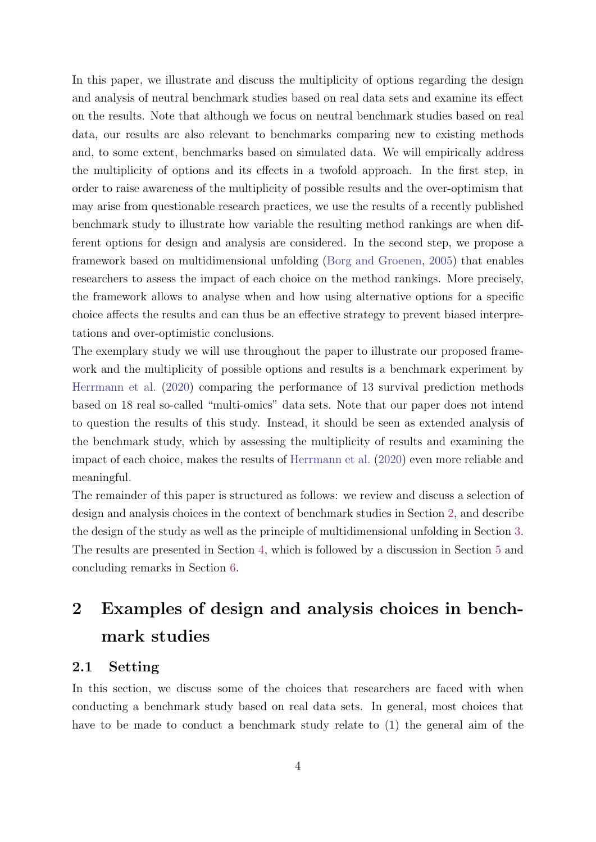In this paper, we illustrate and discuss the multiplicity of options regarding the design and analysis of neutral benchmark studies based on real data sets and examine its effect on the results. Note that although we focus on neutral benchmark studies based on real data, our results are also relevant to benchmarks comparing new to existing methods and, to some extent, benchmarks based on simulated data. We will empirically address the multiplicity of options and its effects in a twofold approach. In the first step, in order to raise awareness of the multiplicity of possible results and the over-optimism that may arise from questionable research practices, we use the results of a recently published benchmark study to illustrate how variable the resulting method rankings are when different options for design and analysis are considered. In the second step, we propose a framework based on multidimensional unfolding [\(Borg and Groenen,](#page-26-6) [2005\)](#page-26-6) that enables researchers to assess the impact of each choice on the method rankings. More precisely, the framework allows to analyse when and how using alternative options for a specific choice affects the results and can thus be an effective strategy to prevent biased interpretations and over-optimistic conclusions.

The exemplary study we will use throughout the paper to illustrate our proposed framework and the multiplicity of possible options and results is a benchmark experiment by [Herrmann et al.](#page-28-6) [\(2020\)](#page-28-6) comparing the performance of 13 survival prediction methods based on 18 real so-called "multi-omics" data sets. Note that our paper does not intend to question the results of this study. Instead, it should be seen as extended analysis of the benchmark study, which by assessing the multiplicity of results and examining the impact of each choice, makes the results of [Herrmann et al.](#page-28-6) [\(2020\)](#page-28-6) even more reliable and meaningful.

The remainder of this paper is structured as follows: we review and discuss a selection of design and analysis choices in the context of benchmark studies in Section [2,](#page-3-0) and describe the design of the study as well as the principle of multidimensional unfolding in Section [3.](#page-11-0) The results are presented in Section [4,](#page-12-0) which is followed by a discussion in Section [5](#page-21-0) and concluding remarks in Section [6.](#page-25-0)

# <span id="page-3-0"></span>2 Examples of design and analysis choices in benchmark studies

#### 2.1 Setting

In this section, we discuss some of the choices that researchers are faced with when conducting a benchmark study based on real data sets. In general, most choices that have to be made to conduct a benchmark study relate to (1) the general aim of the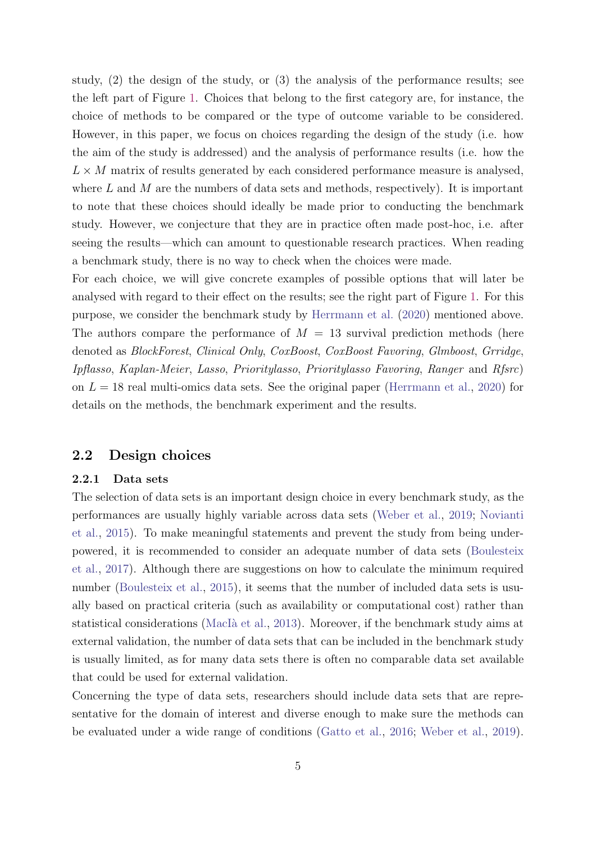study, (2) the design of the study, or (3) the analysis of the performance results; see the left part of Figure [1.](#page-10-0) Choices that belong to the first category are, for instance, the choice of methods to be compared or the type of outcome variable to be considered. However, in this paper, we focus on choices regarding the design of the study (i.e. how the aim of the study is addressed) and the analysis of performance results (i.e. how the  $L \times M$  matrix of results generated by each considered performance measure is analysed, where  $L$  and  $M$  are the numbers of data sets and methods, respectively). It is important to note that these choices should ideally be made prior to conducting the benchmark study. However, we conjecture that they are in practice often made post-hoc, i.e. after seeing the results—which can amount to questionable research practices. When reading a benchmark study, there is no way to check when the choices were made.

For each choice, we will give concrete examples of possible options that will later be analysed with regard to their effect on the results; see the right part of Figure [1.](#page-10-0) For this purpose, we consider the benchmark study by [Herrmann et al.](#page-28-6) [\(2020\)](#page-28-6) mentioned above. The authors compare the performance of  $M = 13$  survival prediction methods (here denoted as BlockForest, Clinical Only, CoxBoost, CoxBoost Favoring, Glmboost, Grridge, Ipflasso, Kaplan-Meier, Lasso, Prioritylasso, Prioritylasso Favoring, Ranger and Rfsrc) on  $L = 18$  real multi-omics data sets. See the original paper [\(Herrmann et al.,](#page-28-6) [2020\)](#page-28-6) for details on the methods, the benchmark experiment and the results.

#### 2.2 Design choices

#### 2.2.1 Data sets

The selection of data sets is an important design choice in every benchmark study, as the performances are usually highly variable across data sets [\(Weber et al.,](#page-30-0) [2019;](#page-30-0) [Novianti](#page-29-5) [et al.,](#page-29-5) [2015\)](#page-29-5). To make meaningful statements and prevent the study from being underpowered, it is recommended to consider an adequate number of data sets [\(Boulesteix](#page-26-1) [et al.,](#page-26-1) [2017\)](#page-26-1). Although there are suggestions on how to calculate the minimum required number [\(Boulesteix et al.,](#page-26-4) [2015\)](#page-26-4), it seems that the number of included data sets is usually based on practical criteria (such as availability or computational cost) rather than statistical considerations (MacIà et al., [2013\)](#page-29-4). Moreover, if the benchmark study aims at external validation, the number of data sets that can be included in the benchmark study is usually limited, as for many data sets there is often no comparable data set available that could be used for external validation.

Concerning the type of data sets, researchers should include data sets that are representative for the domain of interest and diverse enough to make sure the methods can be evaluated under a wide range of conditions [\(Gatto et al.,](#page-28-7) [2016;](#page-28-7) [Weber et al.,](#page-30-0) [2019\)](#page-30-0).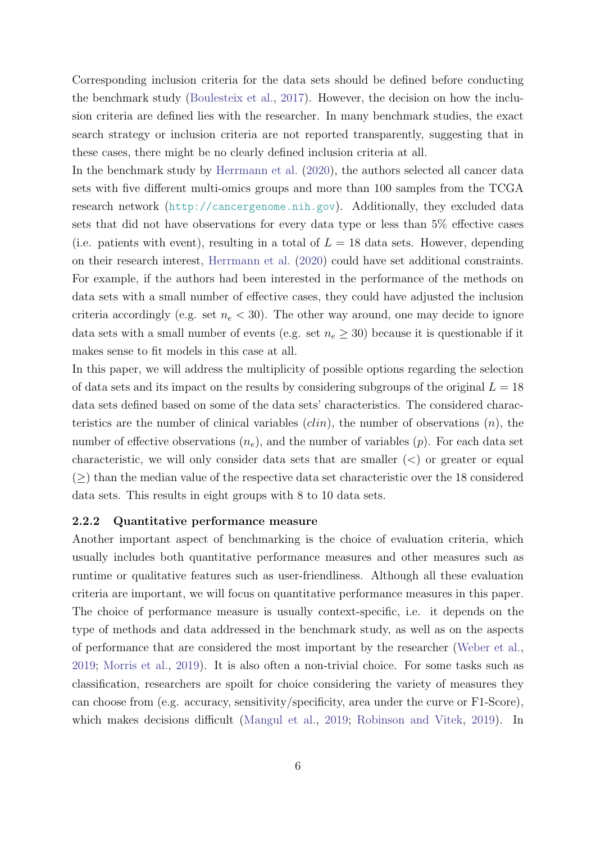Corresponding inclusion criteria for the data sets should be defined before conducting the benchmark study [\(Boulesteix et al.,](#page-26-1) [2017\)](#page-26-1). However, the decision on how the inclusion criteria are defined lies with the researcher. In many benchmark studies, the exact search strategy or inclusion criteria are not reported transparently, suggesting that in these cases, there might be no clearly defined inclusion criteria at all.

In the benchmark study by [Herrmann et al.](#page-28-6) [\(2020\)](#page-28-6), the authors selected all cancer data sets with five different multi-omics groups and more than 100 samples from the TCGA research network (<http://cancergenome.nih.gov>). Additionally, they excluded data sets that did not have observations for every data type or less than 5% effective cases (i.e. patients with event), resulting in a total of  $L = 18$  data sets. However, depending on their research interest, [Herrmann et al.](#page-28-6) [\(2020\)](#page-28-6) could have set additional constraints. For example, if the authors had been interested in the performance of the methods on data sets with a small number of effective cases, they could have adjusted the inclusion criteria accordingly (e.g. set  $n_e < 30$ ). The other way around, one may decide to ignore data sets with a small number of events (e.g. set  $n_e \geq 30$ ) because it is questionable if it makes sense to fit models in this case at all.

In this paper, we will address the multiplicity of possible options regarding the selection of data sets and its impact on the results by considering subgroups of the original  $L = 18$ data sets defined based on some of the data sets' characteristics. The considered characteristics are the number of clinical variables  $(clin)$ , the number of observations  $(n)$ , the number of effective observations  $(n_e)$ , and the number of variables  $(p)$ . For each data set characteristic, we will only consider data sets that are smaller  $(\le)$  or greater or equal  $($ >) than the median value of the respective data set characteristic over the 18 considered data sets. This results in eight groups with 8 to 10 data sets.

#### 2.2.2 Quantitative performance measure

Another important aspect of benchmarking is the choice of evaluation criteria, which usually includes both quantitative performance measures and other measures such as runtime or qualitative features such as user-friendliness. Although all these evaluation criteria are important, we will focus on quantitative performance measures in this paper. The choice of performance measure is usually context-specific, i.e. it depends on the type of methods and data addressed in the benchmark study, as well as on the aspects of performance that are considered the most important by the researcher [\(Weber et al.,](#page-30-0) [2019;](#page-30-0) [Morris et al.,](#page-29-6) [2019\)](#page-29-6). It is also often a non-trivial choice. For some tasks such as classification, researchers are spoilt for choice considering the variety of measures they can choose from (e.g. accuracy, sensitivity/specificity, area under the curve or F1-Score), which makes decisions difficult [\(Mangul et al.,](#page-29-1) [2019;](#page-29-1) [Robinson and Vitek,](#page-30-4) [2019\)](#page-30-4). In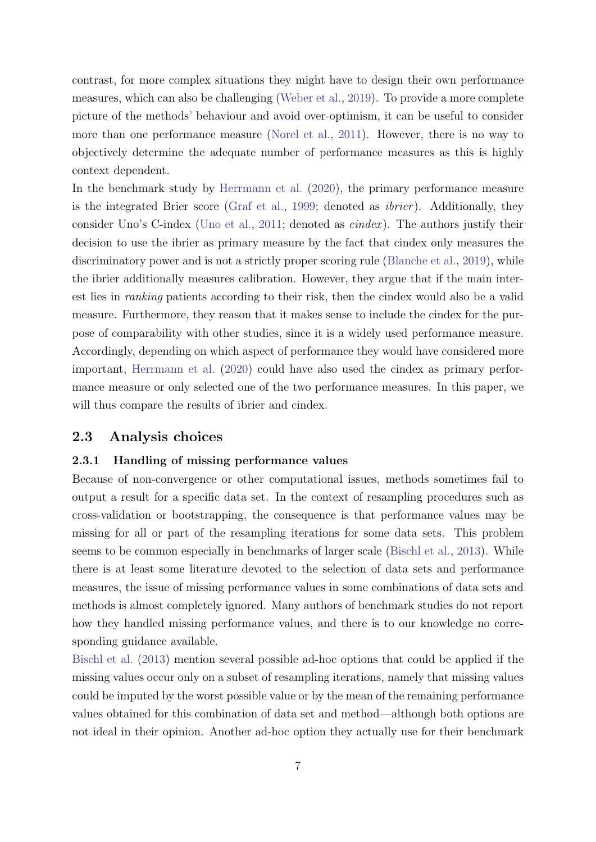contrast, for more complex situations they might have to design their own performance measures, which can also be challenging [\(Weber et al.,](#page-30-0) [2019\)](#page-30-0). To provide a more complete picture of the methods' behaviour and avoid over-optimism, it can be useful to consider more than one performance measure [\(Norel et al.,](#page-29-0) [2011\)](#page-29-0). However, there is no way to objectively determine the adequate number of performance measures as this is highly context dependent.

In the benchmark study by [Herrmann et al.](#page-28-6) [\(2020\)](#page-28-6), the primary performance measure is the integrated Brier score [\(Graf et al.,](#page-28-8) [1999;](#page-28-8) denoted as *ibrier*). Additionally, they consider Uno's C-index [\(Uno et al.,](#page-30-5) [2011;](#page-30-5) denoted as cindex ). The authors justify their decision to use the ibrier as primary measure by the fact that cindex only measures the discriminatory power and is not a strictly proper scoring rule [\(Blanche et al.,](#page-26-7) [2019\)](#page-26-7), while the ibrier additionally measures calibration. However, they argue that if the main interest lies in ranking patients according to their risk, then the cindex would also be a valid measure. Furthermore, they reason that it makes sense to include the cindex for the purpose of comparability with other studies, since it is a widely used performance measure. Accordingly, depending on which aspect of performance they would have considered more important, [Herrmann et al.](#page-28-6) [\(2020\)](#page-28-6) could have also used the cindex as primary performance measure or only selected one of the two performance measures. In this paper, we will thus compare the results of ibrier and cindex.

## 2.3 Analysis choices

#### 2.3.1 Handling of missing performance values

Because of non-convergence or other computational issues, methods sometimes fail to output a result for a specific data set. In the context of resampling procedures such as cross-validation or bootstrapping, the consequence is that performance values may be missing for all or part of the resampling iterations for some data sets. This problem seems to be common especially in benchmarks of larger scale [\(Bischl et al.,](#page-26-8) [2013\)](#page-26-8). While there is at least some literature devoted to the selection of data sets and performance measures, the issue of missing performance values in some combinations of data sets and methods is almost completely ignored. Many authors of benchmark studies do not report how they handled missing performance values, and there is to our knowledge no corresponding guidance available.

[Bischl et al.](#page-26-8) [\(2013\)](#page-26-8) mention several possible ad-hoc options that could be applied if the missing values occur only on a subset of resampling iterations, namely that missing values could be imputed by the worst possible value or by the mean of the remaining performance values obtained for this combination of data set and method—although both options are not ideal in their opinion. Another ad-hoc option they actually use for their benchmark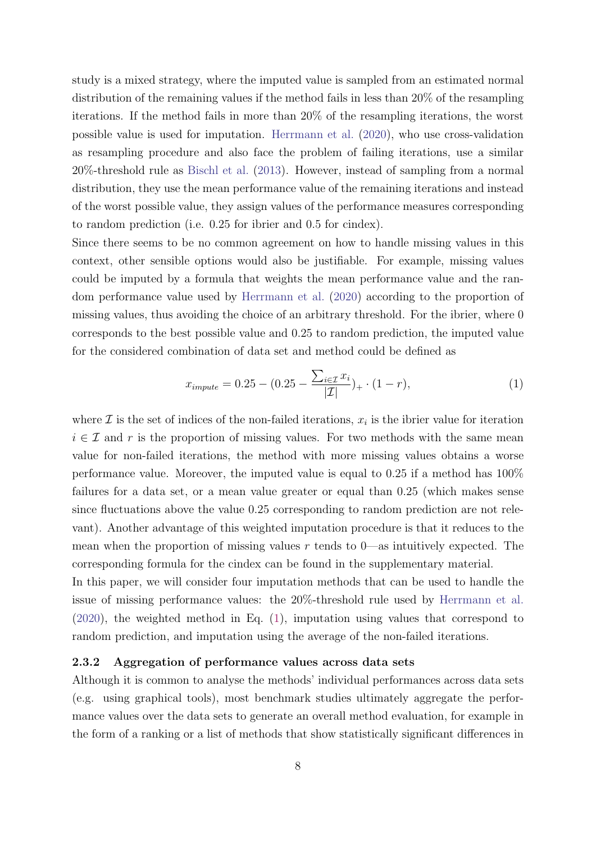study is a mixed strategy, where the imputed value is sampled from an estimated normal distribution of the remaining values if the method fails in less than 20% of the resampling iterations. If the method fails in more than 20% of the resampling iterations, the worst possible value is used for imputation. [Herrmann et al.](#page-28-6) [\(2020\)](#page-28-6), who use cross-validation as resampling procedure and also face the problem of failing iterations, use a similar 20%-threshold rule as [Bischl et al.](#page-26-8) [\(2013\)](#page-26-8). However, instead of sampling from a normal distribution, they use the mean performance value of the remaining iterations and instead of the worst possible value, they assign values of the performance measures corresponding to random prediction (i.e. 0.25 for ibrier and 0.5 for cindex).

Since there seems to be no common agreement on how to handle missing values in this context, other sensible options would also be justifiable. For example, missing values could be imputed by a formula that weights the mean performance value and the random performance value used by [Herrmann et al.](#page-28-6) [\(2020\)](#page-28-6) according to the proportion of missing values, thus avoiding the choice of an arbitrary threshold. For the ibrier, where 0 corresponds to the best possible value and 0.25 to random prediction, the imputed value for the considered combination of data set and method could be defined as

<span id="page-7-0"></span>
$$
x_{\text{impute}} = 0.25 - (0.25 - \frac{\sum_{i \in \mathcal{I}} x_i}{|\mathcal{I}|})_+ \cdot (1 - r), \tag{1}
$$

where  $\mathcal I$  is the set of indices of the non-failed iterations,  $x_i$  is the ibrier value for iteration  $i \in \mathcal{I}$  and r is the proportion of missing values. For two methods with the same mean value for non-failed iterations, the method with more missing values obtains a worse performance value. Moreover, the imputed value is equal to 0.25 if a method has 100% failures for a data set, or a mean value greater or equal than 0.25 (which makes sense since fluctuations above the value 0.25 corresponding to random prediction are not relevant). Another advantage of this weighted imputation procedure is that it reduces to the mean when the proportion of missing values  $r$  tends to 0—as intuitively expected. The corresponding formula for the cindex can be found in the supplementary material.

In this paper, we will consider four imputation methods that can be used to handle the issue of missing performance values: the 20%-threshold rule used by [Herrmann et al.](#page-28-6) [\(2020\)](#page-28-6), the weighted method in Eq. [\(1\)](#page-7-0), imputation using values that correspond to random prediction, and imputation using the average of the non-failed iterations.

#### 2.3.2 Aggregation of performance values across data sets

Although it is common to analyse the methods' individual performances across data sets (e.g. using graphical tools), most benchmark studies ultimately aggregate the performance values over the data sets to generate an overall method evaluation, for example in the form of a ranking or a list of methods that show statistically significant differences in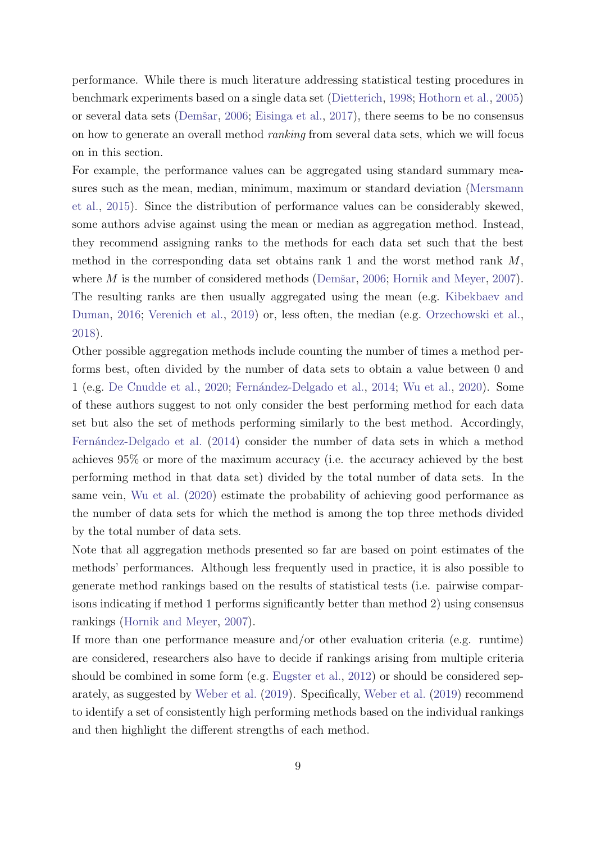performance. While there is much literature addressing statistical testing procedures in benchmark experiments based on a single data set [\(Dietterich,](#page-27-3) [1998;](#page-27-3) [Hothorn et al.,](#page-28-0) [2005\)](#page-28-0) or several data sets (Demšar, [2006;](#page-27-1) [Eisinga et al.,](#page-27-4) [2017\)](#page-27-4), there seems to be no consensus on how to generate an overall method ranking from several data sets, which we will focus on in this section.

For example, the performance values can be aggregated using standard summary measures such as the mean, median, minimum, maximum or standard deviation [\(Mersmann](#page-29-7) [et al.,](#page-29-7) [2015\)](#page-29-7). Since the distribution of performance values can be considerably skewed, some authors advise against using the mean or median as aggregation method. Instead, they recommend assigning ranks to the methods for each data set such that the best method in the corresponding data set obtains rank 1 and the worst method rank  $M$ , where  $M$  is the number of considered methods (Demšar, [2006;](#page-27-1) [Hornik and Meyer,](#page-28-9) [2007\)](#page-28-9). The resulting ranks are then usually aggregated using the mean (e.g. [Kibekbaev and](#page-29-8) [Duman,](#page-29-8) [2016;](#page-29-8) [Verenich et al.,](#page-30-6) [2019\)](#page-30-6) or, less often, the median (e.g. [Orzechowski et al.,](#page-30-7) [2018\)](#page-30-7).

Other possible aggregation methods include counting the number of times a method performs best, often divided by the number of data sets to obtain a value between 0 and 1 (e.g. [De Cnudde et al.,](#page-27-5) [2020;](#page-27-5) Fernández-Delgado et al., [2014;](#page-27-6) [Wu et al.,](#page-30-8) [2020\)](#page-30-8). Some of these authors suggest to not only consider the best performing method for each data set but also the set of methods performing similarly to the best method. Accordingly, Fernández-Delgado et al. [\(2014\)](#page-27-6) consider the number of data sets in which a method achieves 95% or more of the maximum accuracy (i.e. the accuracy achieved by the best performing method in that data set) divided by the total number of data sets. In the same vein, [Wu et al.](#page-30-8) [\(2020\)](#page-30-8) estimate the probability of achieving good performance as the number of data sets for which the method is among the top three methods divided by the total number of data sets.

Note that all aggregation methods presented so far are based on point estimates of the methods' performances. Although less frequently used in practice, it is also possible to generate method rankings based on the results of statistical tests (i.e. pairwise comparisons indicating if method 1 performs significantly better than method 2) using consensus rankings [\(Hornik and Meyer,](#page-28-9) [2007\)](#page-28-9).

If more than one performance measure and/or other evaluation criteria (e.g. runtime) are considered, researchers also have to decide if rankings arising from multiple criteria should be combined in some form (e.g. [Eugster et al.,](#page-27-2) [2012\)](#page-27-2) or should be considered separately, as suggested by [Weber et al.](#page-30-0) [\(2019\)](#page-30-0). Specifically, [Weber et al.](#page-30-0) [\(2019\)](#page-30-0) recommend to identify a set of consistently high performing methods based on the individual rankings and then highlight the different strengths of each method.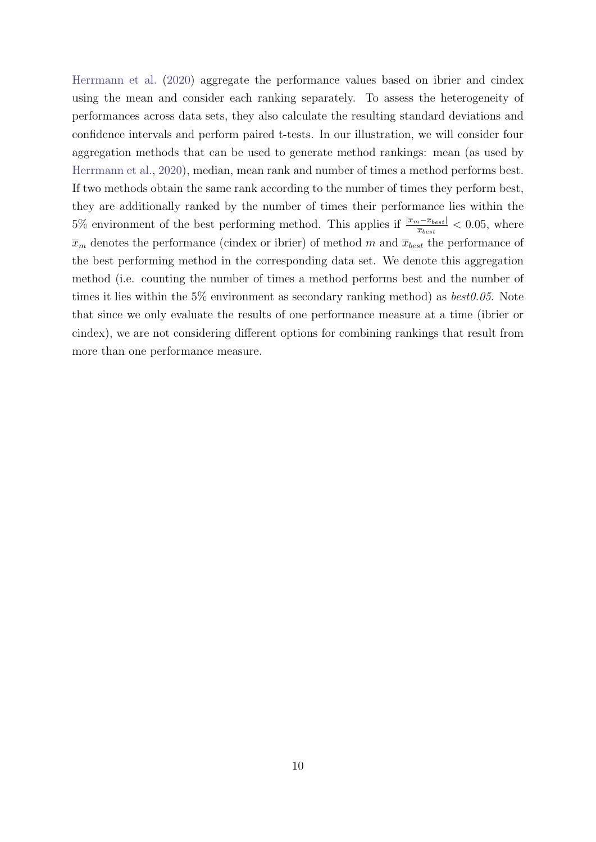[Herrmann et al.](#page-28-6) [\(2020\)](#page-28-6) aggregate the performance values based on ibrier and cindex using the mean and consider each ranking separately. To assess the heterogeneity of performances across data sets, they also calculate the resulting standard deviations and confidence intervals and perform paired t-tests. In our illustration, we will consider four aggregation methods that can be used to generate method rankings: mean (as used by [Herrmann et al.,](#page-28-6) [2020\)](#page-28-6), median, mean rank and number of times a method performs best. If two methods obtain the same rank according to the number of times they perform best, they are additionally ranked by the number of times their performance lies within the 5% environment of the best performing method. This applies if  $\frac{|\overline{x}_m - \overline{x}_{best}|}{\overline{x}_{best}} < 0.05$ , where  $\bar{x}_m$  denotes the performance (cindex or ibrier) of method m and  $\bar{x}_{best}$  the performance of the best performing method in the corresponding data set. We denote this aggregation method (i.e. counting the number of times a method performs best and the number of times it lies within the 5% environment as secondary ranking method) as  $best0.05$ . Note that since we only evaluate the results of one performance measure at a time (ibrier or cindex), we are not considering different options for combining rankings that result from more than one performance measure.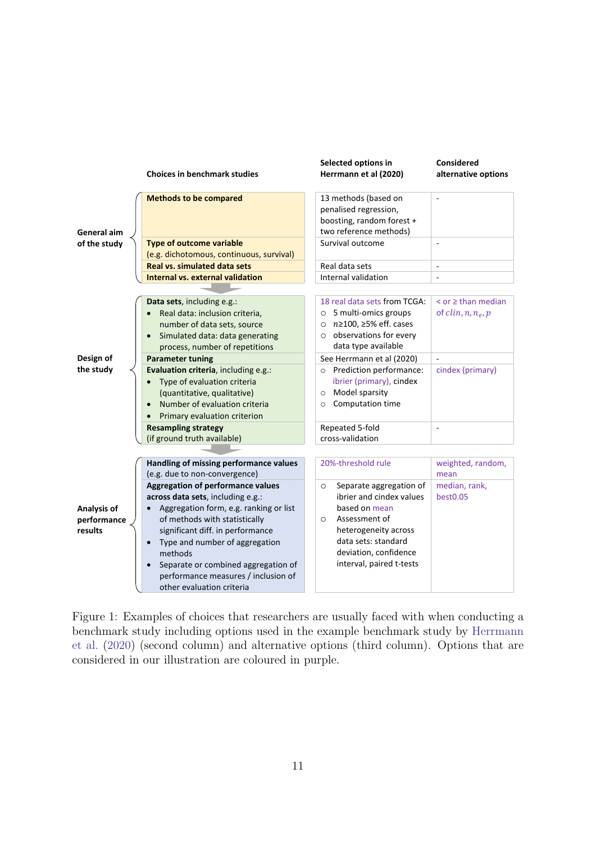<span id="page-10-0"></span>

Figure 1: Examples of choices that researchers are usually faced with when conducting a benchmark study including options used in the example benchmark study by [Herrmann](#page-28-6) [et al.](#page-28-6) [\(2020\)](#page-28-6) (second column) and alternative options (third column). Options that are considered in our illustration are coloured in purple.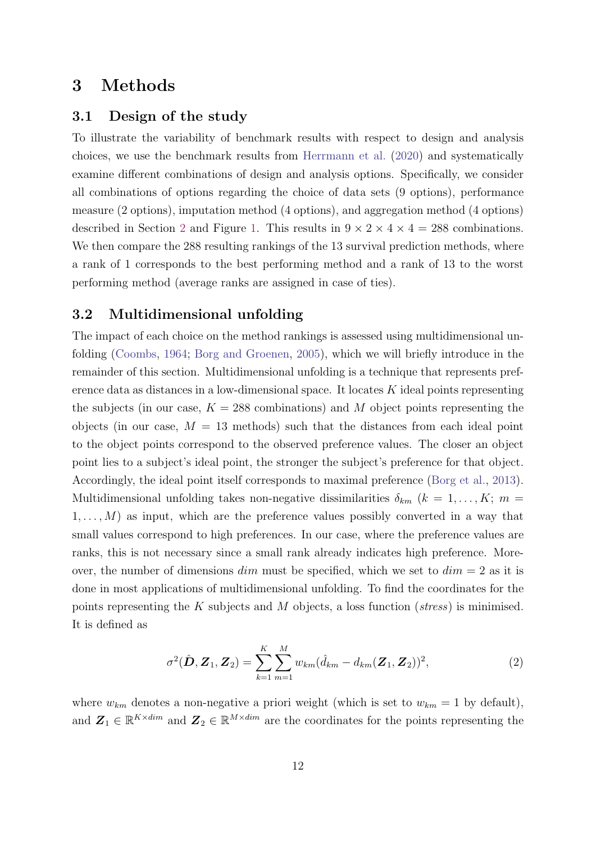## <span id="page-11-0"></span>3 Methods

#### 3.1 Design of the study

To illustrate the variability of benchmark results with respect to design and analysis choices, we use the benchmark results from [Herrmann et al.](#page-28-6) [\(2020\)](#page-28-6) and systematically examine different combinations of design and analysis options. Specifically, we consider all combinations of options regarding the choice of data sets (9 options), performance measure (2 options), imputation method (4 options), and aggregation method (4 options) described in Section [2](#page-3-0) and Figure [1.](#page-10-0) This results in  $9 \times 2 \times 4 \times 4 = 288$  combinations. We then compare the 288 resulting rankings of the 13 survival prediction methods, where a rank of 1 corresponds to the best performing method and a rank of 13 to the worst performing method (average ranks are assigned in case of ties).

## 3.2 Multidimensional unfolding

The impact of each choice on the method rankings is assessed using multidimensional unfolding [\(Coombs,](#page-27-7) [1964;](#page-27-7) [Borg and Groenen,](#page-26-6) [2005\)](#page-26-6), which we will briefly introduce in the remainder of this section. Multidimensional unfolding is a technique that represents preference data as distances in a low-dimensional space. It locates K ideal points representing the subjects (in our case,  $K = 288$  combinations) and M object points representing the objects (in our case,  $M = 13$  methods) such that the distances from each ideal point to the object points correspond to the observed preference values. The closer an object point lies to a subject's ideal point, the stronger the subject's preference for that object. Accordingly, the ideal point itself corresponds to maximal preference [\(Borg et al.,](#page-26-9) [2013\)](#page-26-9). Multidimensional unfolding takes non-negative dissimilarities  $\delta_{km}$  ( $k = 1, \ldots, K; m =$  $1, \ldots, M$ ) as input, which are the preference values possibly converted in a way that small values correspond to high preferences. In our case, where the preference values are ranks, this is not necessary since a small rank already indicates high preference. Moreover, the number of dimensions  $dim$  must be specified, which we set to  $dim = 2$  as it is done in most applications of multidimensional unfolding. To find the coordinates for the points representing the K subjects and M objects, a loss function ( $stress$ ) is minimised. It is defined as

<span id="page-11-1"></span>
$$
\sigma^{2}(\hat{\mathbf{D}}, \mathbf{Z}_{1}, \mathbf{Z}_{2}) = \sum_{k=1}^{K} \sum_{m=1}^{M} w_{km} (\hat{d}_{km} - d_{km}(\mathbf{Z}_{1}, \mathbf{Z}_{2}))^{2},
$$
\n(2)

where  $w_{km}$  denotes a non-negative a priori weight (which is set to  $w_{km} = 1$  by default), and  $\mathbf{Z}_1 \in \mathbb{R}^{K \times dim}$  and  $\mathbf{Z}_2 \in \mathbb{R}^{M \times dim}$  are the coordinates for the points representing the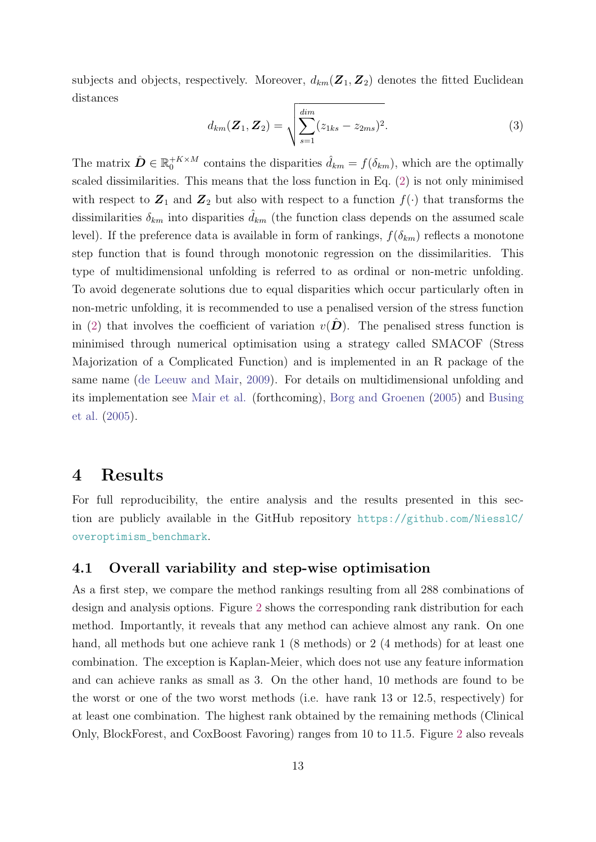subjects and objects, respectively. Moreover,  $d_{km}(\mathbf{Z}_1, \mathbf{Z}_2)$  denotes the fitted Euclidean distances

$$
d_{km}(\mathbf{Z}_1, \mathbf{Z}_2) = \sqrt{\sum_{s=1}^{\text{dim}} (z_{1ks} - z_{2ms})^2}.
$$
 (3)

The matrix  $\hat{\mathbf{D}} \in \mathbb{R}_0^{+K \times M}$  contains the disparities  $\hat{d}_{km} = f(\delta_{km})$ , which are the optimally scaled dissimilarities. This means that the loss function in Eq. [\(2\)](#page-11-1) is not only minimised with respect to  $\mathbf{Z}_1$  and  $\mathbf{Z}_2$  but also with respect to a function  $f(\cdot)$  that transforms the dissimilarities  $\delta_{km}$  into disparities  $\hat{d}_{km}$  (the function class depends on the assumed scale level). If the preference data is available in form of rankings,  $f(\delta_{km})$  reflects a monotone step function that is found through monotonic regression on the dissimilarities. This type of multidimensional unfolding is referred to as ordinal or non-metric unfolding. To avoid degenerate solutions due to equal disparities which occur particularly often in non-metric unfolding, it is recommended to use a penalised version of the stress function in [\(2\)](#page-11-1) that involves the coefficient of variation  $v(\mathbf{D})$ . The penalised stress function is minimised through numerical optimisation using a strategy called SMACOF (Stress Majorization of a Complicated Function) and is implemented in an R package of the same name [\(de Leeuw and Mair,](#page-27-8) [2009\)](#page-27-8). For details on multidimensional unfolding and its implementation see [Mair et al.](#page-29-9) (forthcoming), [Borg and Groenen](#page-26-6) [\(2005\)](#page-26-6) and [Busing](#page-27-9) [et al.](#page-27-9) [\(2005\)](#page-27-9).

## <span id="page-12-0"></span>4 Results

For full reproducibility, the entire analysis and the results presented in this section are publicly available in the GitHub repository [https://github.com/NiesslC/](https://github.com/NiesslC/overoptimism_benchmark) [overoptimism\\_benchmark](https://github.com/NiesslC/overoptimism_benchmark).

### <span id="page-12-1"></span>4.1 Overall variability and step-wise optimisation

As a first step, we compare the method rankings resulting from all 288 combinations of design and analysis options. Figure [2](#page-13-0) shows the corresponding rank distribution for each method. Importantly, it reveals that any method can achieve almost any rank. On one hand, all methods but one achieve rank 1 (8 methods) or 2 (4 methods) for at least one combination. The exception is Kaplan-Meier, which does not use any feature information and can achieve ranks as small as 3. On the other hand, 10 methods are found to be the worst or one of the two worst methods (i.e. have rank 13 or 12.5, respectively) for at least one combination. The highest rank obtained by the remaining methods (Clinical Only, BlockForest, and CoxBoost Favoring) ranges from 10 to 11.5. Figure [2](#page-13-0) also reveals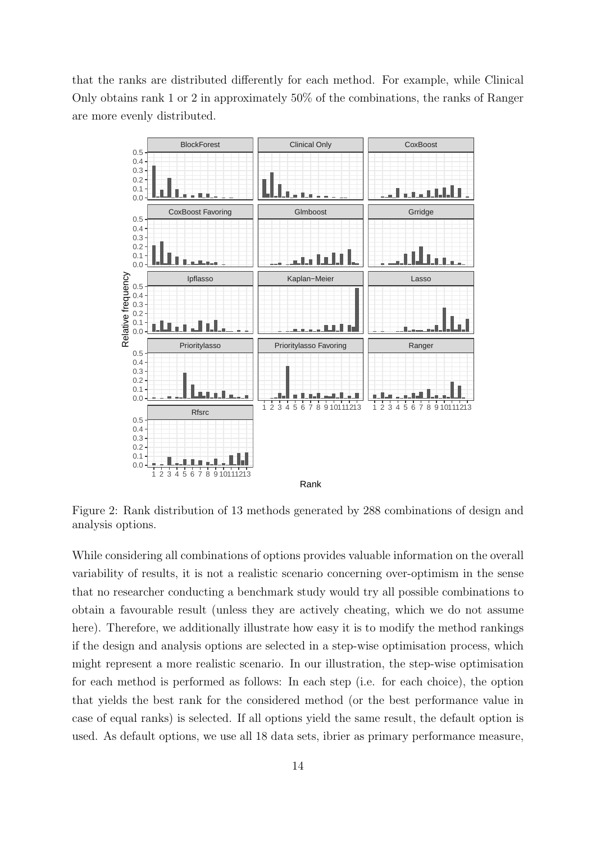that the ranks are distributed differently for each method. For example, while Clinical Only obtains rank 1 or 2 in approximately 50% of the combinations, the ranks of Ranger are more evenly distributed.

<span id="page-13-0"></span>

Figure 2: Rank distribution of 13 methods generated by 288 combinations of design and analysis options.

While considering all combinations of options provides valuable information on the overall variability of results, it is not a realistic scenario concerning over-optimism in the sense that no researcher conducting a benchmark study would try all possible combinations to obtain a favourable result (unless they are actively cheating, which we do not assume here). Therefore, we additionally illustrate how easy it is to modify the method rankings if the design and analysis options are selected in a step-wise optimisation process, which might represent a more realistic scenario. In our illustration, the step-wise optimisation for each method is performed as follows: In each step (i.e. for each choice), the option that yields the best rank for the considered method (or the best performance value in case of equal ranks) is selected. If all options yield the same result, the default option is used. As default options, we use all 18 data sets, ibrier as primary performance measure,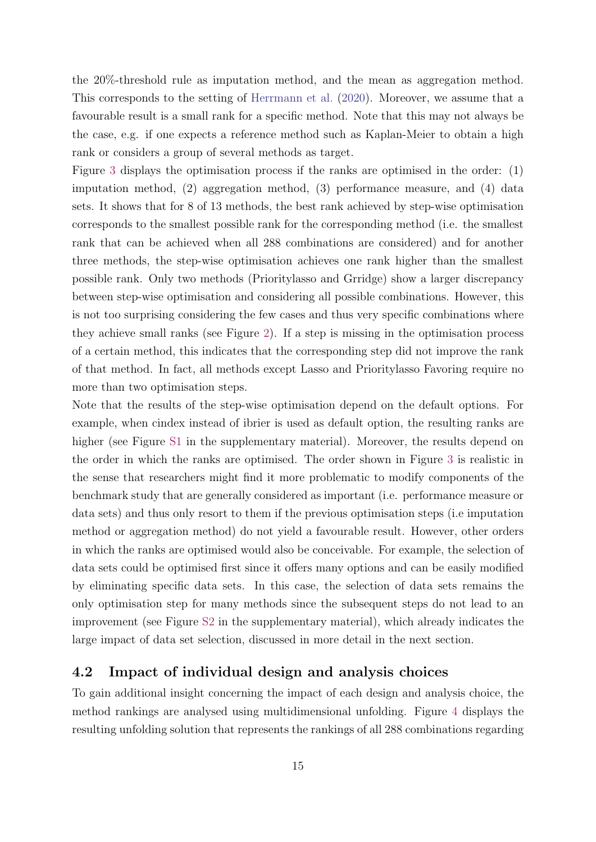the 20%-threshold rule as imputation method, and the mean as aggregation method. This corresponds to the setting of [Herrmann et al.](#page-28-6) [\(2020\)](#page-28-6). Moreover, we assume that a favourable result is a small rank for a specific method. Note that this may not always be the case, e.g. if one expects a reference method such as Kaplan-Meier to obtain a high rank or considers a group of several methods as target.

Figure [3](#page-15-0) displays the optimisation process if the ranks are optimised in the order: (1) imputation method, (2) aggregation method, (3) performance measure, and (4) data sets. It shows that for 8 of 13 methods, the best rank achieved by step-wise optimisation corresponds to the smallest possible rank for the corresponding method (i.e. the smallest rank that can be achieved when all 288 combinations are considered) and for another three methods, the step-wise optimisation achieves one rank higher than the smallest possible rank. Only two methods (Prioritylasso and Grridge) show a larger discrepancy between step-wise optimisation and considering all possible combinations. However, this is not too surprising considering the few cases and thus very specific combinations where they achieve small ranks (see Figure [2\)](#page-13-0). If a step is missing in the optimisation process of a certain method, this indicates that the corresponding step did not improve the rank of that method. In fact, all methods except Lasso and Prioritylasso Favoring require no more than two optimisation steps.

Note that the results of the step-wise optimisation depend on the default options. For example, when cindex instead of ibrier is used as default option, the resulting ranks are higher (see Figure [S1](#page-32-0) in the supplementary material). Moreover, the results depend on the order in which the ranks are optimised. The order shown in Figure [3](#page-15-0) is realistic in the sense that researchers might find it more problematic to modify components of the benchmark study that are generally considered as important (i.e. performance measure or data sets) and thus only resort to them if the previous optimisation steps (i.e imputation method or aggregation method) do not yield a favourable result. However, other orders in which the ranks are optimised would also be conceivable. For example, the selection of data sets could be optimised first since it offers many options and can be easily modified by eliminating specific data sets. In this case, the selection of data sets remains the only optimisation step for many methods since the subsequent steps do not lead to an improvement (see Figure [S2](#page-33-0) in the supplementary material), which already indicates the large impact of data set selection, discussed in more detail in the next section.

### 4.2 Impact of individual design and analysis choices

To gain additional insight concerning the impact of each design and analysis choice, the method rankings are analysed using multidimensional unfolding. Figure [4](#page-19-0) displays the resulting unfolding solution that represents the rankings of all 288 combinations regarding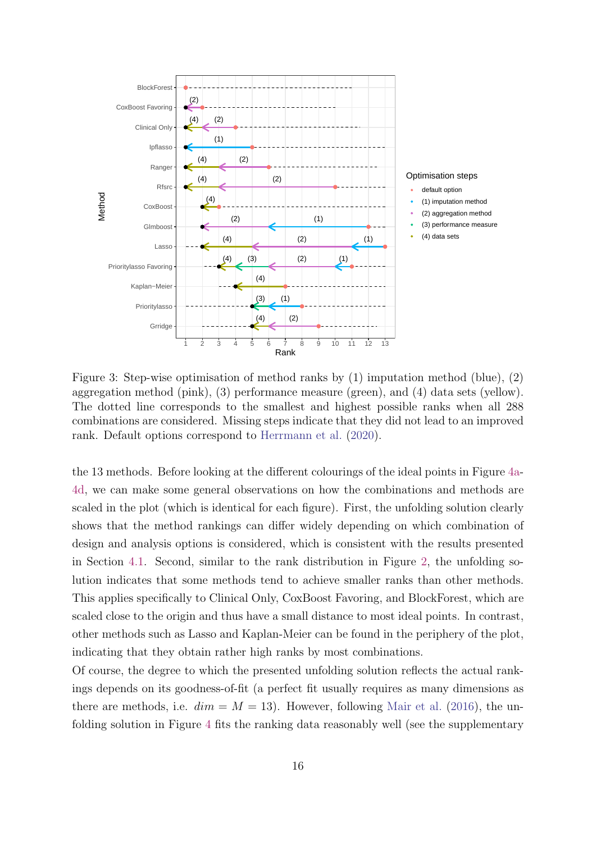<span id="page-15-0"></span>

Figure 3: Step-wise optimisation of method ranks by (1) imputation method (blue), (2) aggregation method (pink), (3) performance measure (green), and (4) data sets (yellow). The dotted line corresponds to the smallest and highest possible ranks when all 288 combinations are considered. Missing steps indicate that they did not lead to an improved rank. Default options correspond to [Herrmann et al.](#page-28-6) [\(2020\)](#page-28-6).

the 13 methods. Before looking at the different colourings of the ideal points in Figure [4a-](#page-19-0)[4d,](#page-19-0) we can make some general observations on how the combinations and methods are scaled in the plot (which is identical for each figure). First, the unfolding solution clearly shows that the method rankings can differ widely depending on which combination of design and analysis options is considered, which is consistent with the results presented in Section [4.1.](#page-12-1) Second, similar to the rank distribution in Figure [2,](#page-13-0) the unfolding solution indicates that some methods tend to achieve smaller ranks than other methods. This applies specifically to Clinical Only, CoxBoost Favoring, and BlockForest, which are scaled close to the origin and thus have a small distance to most ideal points. In contrast, other methods such as Lasso and Kaplan-Meier can be found in the periphery of the plot, indicating that they obtain rather high ranks by most combinations.

Of course, the degree to which the presented unfolding solution reflects the actual rankings depends on its goodness-of-fit (a perfect fit usually requires as many dimensions as there are methods, i.e.  $dim = M = 13$ . However, following [Mair et al.](#page-29-10) [\(2016\)](#page-29-10), the unfolding solution in Figure [4](#page-19-0) fits the ranking data reasonably well (see the supplementary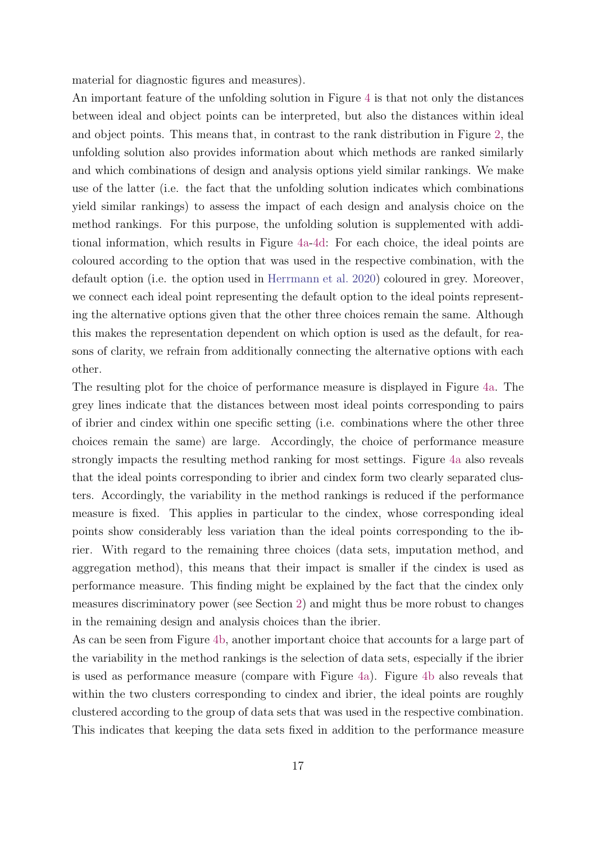material for diagnostic figures and measures).

An important feature of the unfolding solution in Figure [4](#page-19-0) is that not only the distances between ideal and object points can be interpreted, but also the distances within ideal and object points. This means that, in contrast to the rank distribution in Figure [2,](#page-13-0) the unfolding solution also provides information about which methods are ranked similarly and which combinations of design and analysis options yield similar rankings. We make use of the latter (i.e. the fact that the unfolding solution indicates which combinations yield similar rankings) to assess the impact of each design and analysis choice on the method rankings. For this purpose, the unfolding solution is supplemented with additional information, which results in Figure [4a-4d:](#page-19-0) For each choice, the ideal points are coloured according to the option that was used in the respective combination, with the default option (i.e. the option used in [Herrmann et al.](#page-28-6) [2020\)](#page-28-6) coloured in grey. Moreover, we connect each ideal point representing the default option to the ideal points representing the alternative options given that the other three choices remain the same. Although this makes the representation dependent on which option is used as the default, for reasons of clarity, we refrain from additionally connecting the alternative options with each other.

The resulting plot for the choice of performance measure is displayed in Figure [4a.](#page-19-0) The grey lines indicate that the distances between most ideal points corresponding to pairs of ibrier and cindex within one specific setting (i.e. combinations where the other three choices remain the same) are large. Accordingly, the choice of performance measure strongly impacts the resulting method ranking for most settings. Figure [4a](#page-19-0) also reveals that the ideal points corresponding to ibrier and cindex form two clearly separated clusters. Accordingly, the variability in the method rankings is reduced if the performance measure is fixed. This applies in particular to the cindex, whose corresponding ideal points show considerably less variation than the ideal points corresponding to the ibrier. With regard to the remaining three choices (data sets, imputation method, and aggregation method), this means that their impact is smaller if the cindex is used as performance measure. This finding might be explained by the fact that the cindex only measures discriminatory power (see Section [2\)](#page-3-0) and might thus be more robust to changes in the remaining design and analysis choices than the ibrier.

As can be seen from Figure [4b,](#page-19-0) another important choice that accounts for a large part of the variability in the method rankings is the selection of data sets, especially if the ibrier is used as performance measure (compare with Figure [4a\)](#page-19-0). Figure [4b](#page-19-0) also reveals that within the two clusters corresponding to cindex and ibrier, the ideal points are roughly clustered according to the group of data sets that was used in the respective combination. This indicates that keeping the data sets fixed in addition to the performance measure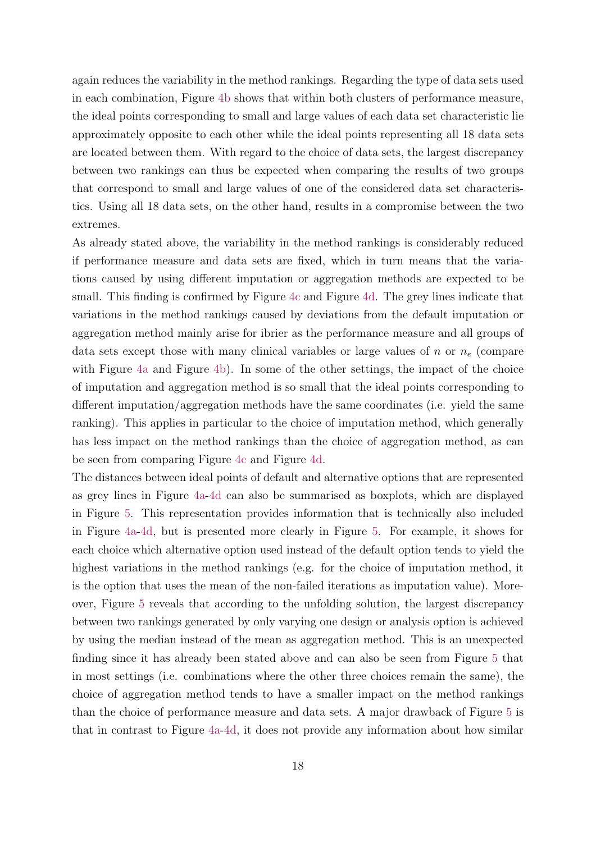again reduces the variability in the method rankings. Regarding the type of data sets used in each combination, Figure [4b](#page-19-0) shows that within both clusters of performance measure, the ideal points corresponding to small and large values of each data set characteristic lie approximately opposite to each other while the ideal points representing all 18 data sets are located between them. With regard to the choice of data sets, the largest discrepancy between two rankings can thus be expected when comparing the results of two groups that correspond to small and large values of one of the considered data set characteristics. Using all 18 data sets, on the other hand, results in a compromise between the two extremes.

As already stated above, the variability in the method rankings is considerably reduced if performance measure and data sets are fixed, which in turn means that the variations caused by using different imputation or aggregation methods are expected to be small. This finding is confirmed by Figure [4c](#page-19-0) and Figure [4d.](#page-19-0) The grey lines indicate that variations in the method rankings caused by deviations from the default imputation or aggregation method mainly arise for ibrier as the performance measure and all groups of data sets except those with many clinical variables or large values of n or  $n_e$  (compare with Figure [4a](#page-19-0) and Figure [4b\)](#page-19-0). In some of the other settings, the impact of the choice of imputation and aggregation method is so small that the ideal points corresponding to different imputation/aggregation methods have the same coordinates (i.e. yield the same ranking). This applies in particular to the choice of imputation method, which generally has less impact on the method rankings than the choice of aggregation method, as can be seen from comparing Figure [4c](#page-19-0) and Figure [4d.](#page-19-0)

The distances between ideal points of default and alternative options that are represented as grey lines in Figure [4a-4d](#page-19-0) can also be summarised as boxplots, which are displayed in Figure [5.](#page-20-0) This representation provides information that is technically also included in Figure [4a-4d,](#page-19-0) but is presented more clearly in Figure [5.](#page-20-0) For example, it shows for each choice which alternative option used instead of the default option tends to yield the highest variations in the method rankings (e.g. for the choice of imputation method, it is the option that uses the mean of the non-failed iterations as imputation value). Moreover, Figure [5](#page-20-0) reveals that according to the unfolding solution, the largest discrepancy between two rankings generated by only varying one design or analysis option is achieved by using the median instead of the mean as aggregation method. This is an unexpected finding since it has already been stated above and can also be seen from Figure [5](#page-20-0) that in most settings (i.e. combinations where the other three choices remain the same), the choice of aggregation method tends to have a smaller impact on the method rankings than the choice of performance measure and data sets. A major drawback of Figure [5](#page-20-0) is that in contrast to Figure [4a-4d,](#page-19-0) it does not provide any information about how similar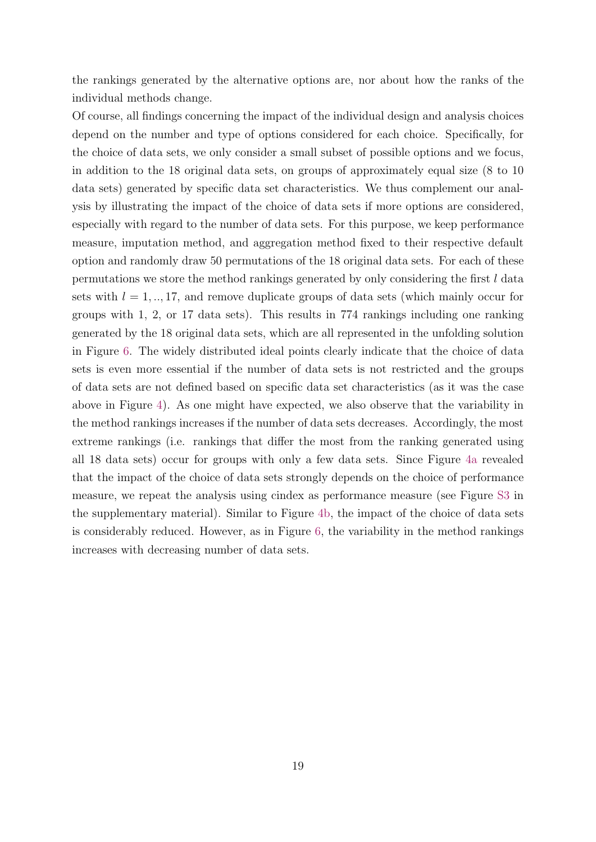the rankings generated by the alternative options are, nor about how the ranks of the individual methods change.

Of course, all findings concerning the impact of the individual design and analysis choices depend on the number and type of options considered for each choice. Specifically, for the choice of data sets, we only consider a small subset of possible options and we focus, in addition to the 18 original data sets, on groups of approximately equal size (8 to 10 data sets) generated by specific data set characteristics. We thus complement our analysis by illustrating the impact of the choice of data sets if more options are considered, especially with regard to the number of data sets. For this purpose, we keep performance measure, imputation method, and aggregation method fixed to their respective default option and randomly draw 50 permutations of the 18 original data sets. For each of these permutations we store the method rankings generated by only considering the first l data sets with  $l = 1, ..., 17$ , and remove duplicate groups of data sets (which mainly occur for groups with 1, 2, or 17 data sets). This results in 774 rankings including one ranking generated by the 18 original data sets, which are all represented in the unfolding solution in Figure [6.](#page-20-1) The widely distributed ideal points clearly indicate that the choice of data sets is even more essential if the number of data sets is not restricted and the groups of data sets are not defined based on specific data set characteristics (as it was the case above in Figure [4\)](#page-19-0). As one might have expected, we also observe that the variability in the method rankings increases if the number of data sets decreases. Accordingly, the most extreme rankings (i.e. rankings that differ the most from the ranking generated using all 18 data sets) occur for groups with only a few data sets. Since Figure [4a](#page-19-0) revealed that the impact of the choice of data sets strongly depends on the choice of performance measure, we repeat the analysis using cindex as performance measure (see Figure [S3](#page-34-0) in the supplementary material). Similar to Figure [4b,](#page-19-0) the impact of the choice of data sets is considerably reduced. However, as in Figure [6,](#page-20-1) the variability in the method rankings increases with decreasing number of data sets.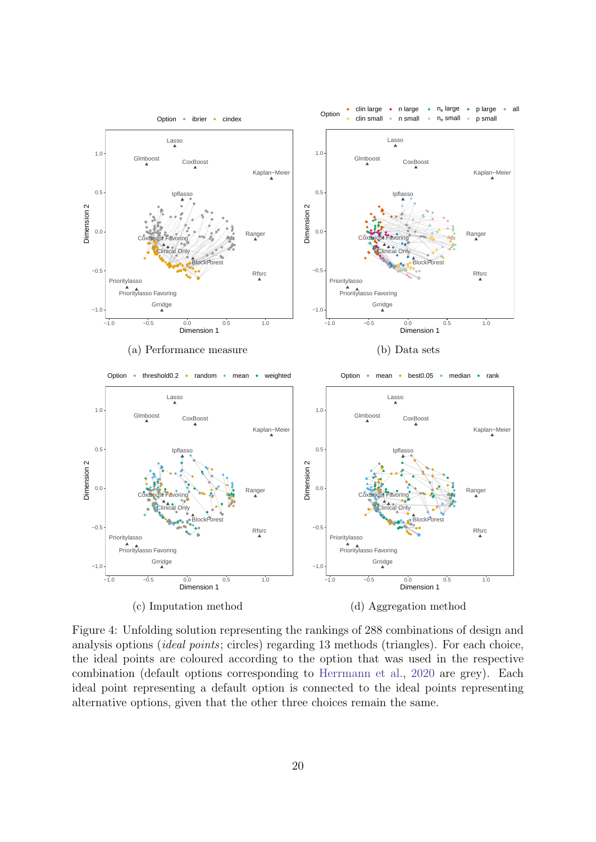<span id="page-19-0"></span>

Figure 4: Unfolding solution representing the rankings of 288 combinations of design and analysis options (ideal points; circles) regarding 13 methods (triangles). For each choice, the ideal points are coloured according to the option that was used in the respective combination (default options corresponding to [Herrmann et al.,](#page-28-6) [2020](#page-28-6) are grey). Each ideal point representing a default option is connected to the ideal points representing alternative options, given that the other three choices remain the same.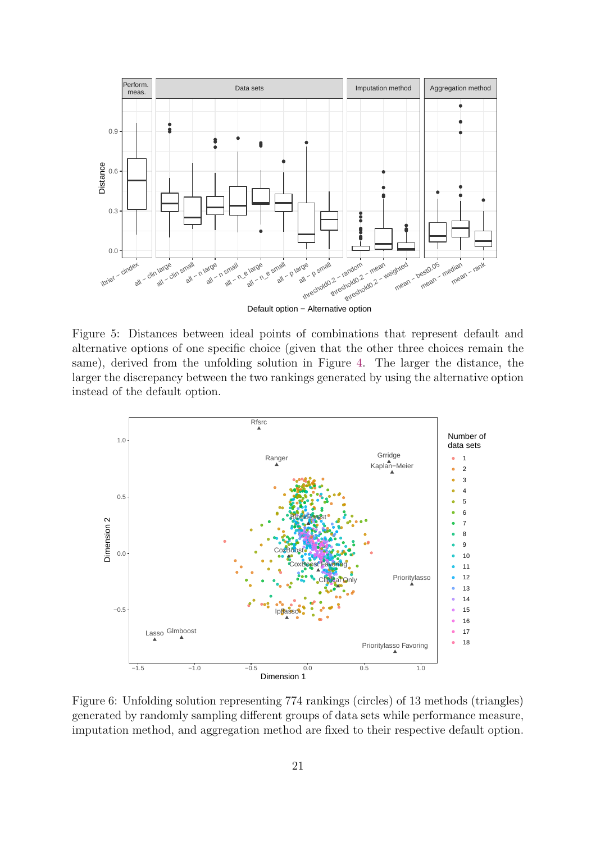<span id="page-20-0"></span>

Figure 5: Distances between ideal points of combinations that represent default and alternative options of one specific choice (given that the other three choices remain the same), derived from the unfolding solution in Figure [4.](#page-19-0) The larger the distance, the larger the discrepancy between the two rankings generated by using the alternative option instead of the default option.

<span id="page-20-1"></span>

Figure 6: Unfolding solution representing 774 rankings (circles) of 13 methods (triangles) generated by randomly sampling different groups of data sets while performance measure, imputation method, and aggregation method are fixed to their respective default option.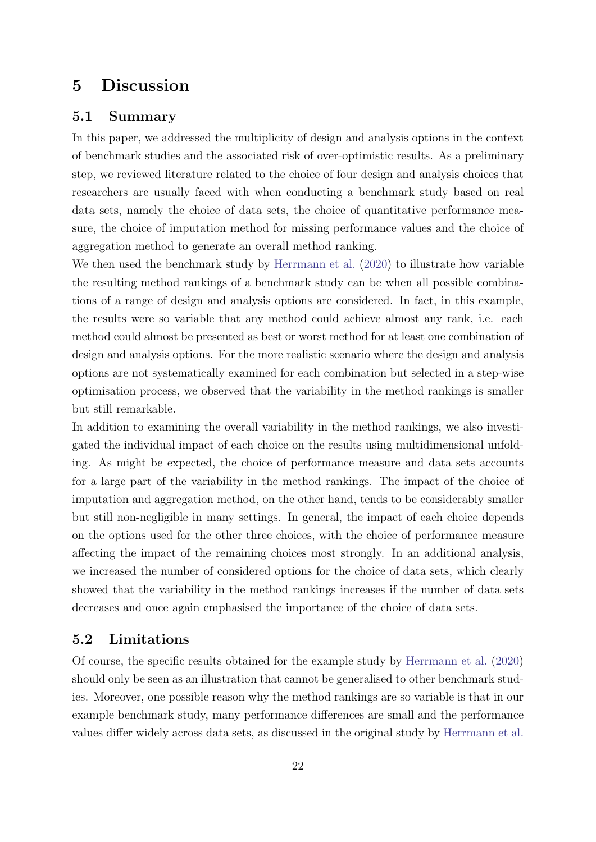# <span id="page-21-0"></span>5 Discussion

#### 5.1 Summary

In this paper, we addressed the multiplicity of design and analysis options in the context of benchmark studies and the associated risk of over-optimistic results. As a preliminary step, we reviewed literature related to the choice of four design and analysis choices that researchers are usually faced with when conducting a benchmark study based on real data sets, namely the choice of data sets, the choice of quantitative performance measure, the choice of imputation method for missing performance values and the choice of aggregation method to generate an overall method ranking.

We then used the benchmark study by [Herrmann et al.](#page-28-6) [\(2020\)](#page-28-6) to illustrate how variable the resulting method rankings of a benchmark study can be when all possible combinations of a range of design and analysis options are considered. In fact, in this example, the results were so variable that any method could achieve almost any rank, i.e. each method could almost be presented as best or worst method for at least one combination of design and analysis options. For the more realistic scenario where the design and analysis options are not systematically examined for each combination but selected in a step-wise optimisation process, we observed that the variability in the method rankings is smaller but still remarkable.

In addition to examining the overall variability in the method rankings, we also investigated the individual impact of each choice on the results using multidimensional unfolding. As might be expected, the choice of performance measure and data sets accounts for a large part of the variability in the method rankings. The impact of the choice of imputation and aggregation method, on the other hand, tends to be considerably smaller but still non-negligible in many settings. In general, the impact of each choice depends on the options used for the other three choices, with the choice of performance measure affecting the impact of the remaining choices most strongly. In an additional analysis, we increased the number of considered options for the choice of data sets, which clearly showed that the variability in the method rankings increases if the number of data sets decreases and once again emphasised the importance of the choice of data sets.

### 5.2 Limitations

Of course, the specific results obtained for the example study by [Herrmann et al.](#page-28-6) [\(2020\)](#page-28-6) should only be seen as an illustration that cannot be generalised to other benchmark studies. Moreover, one possible reason why the method rankings are so variable is that in our example benchmark study, many performance differences are small and the performance values differ widely across data sets, as discussed in the original study by [Herrmann et al.](#page-28-6)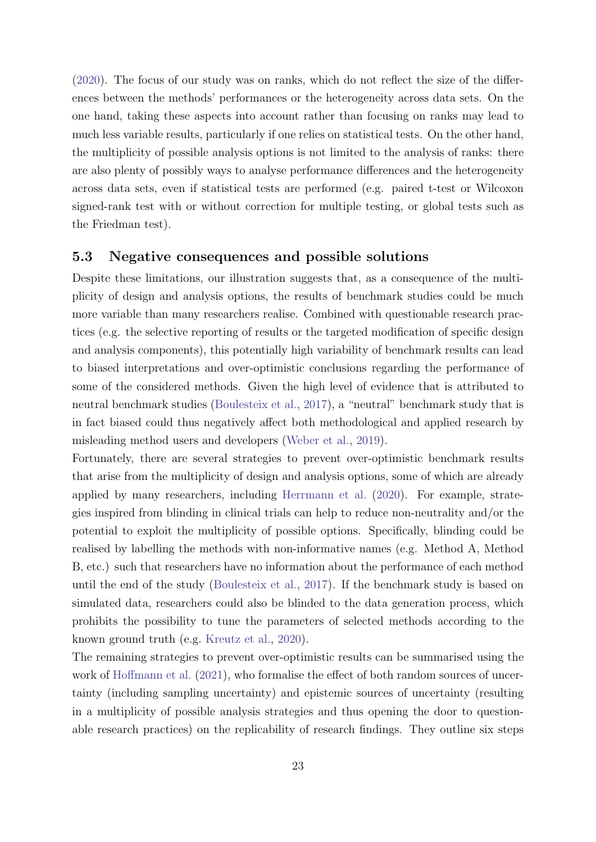[\(2020\)](#page-28-6). The focus of our study was on ranks, which do not reflect the size of the differences between the methods' performances or the heterogeneity across data sets. On the one hand, taking these aspects into account rather than focusing on ranks may lead to much less variable results, particularly if one relies on statistical tests. On the other hand, the multiplicity of possible analysis options is not limited to the analysis of ranks: there are also plenty of possibly ways to analyse performance differences and the heterogeneity across data sets, even if statistical tests are performed (e.g. paired t-test or Wilcoxon signed-rank test with or without correction for multiple testing, or global tests such as the Friedman test).

#### 5.3 Negative consequences and possible solutions

Despite these limitations, our illustration suggests that, as a consequence of the multiplicity of design and analysis options, the results of benchmark studies could be much more variable than many researchers realise. Combined with questionable research practices (e.g. the selective reporting of results or the targeted modification of specific design and analysis components), this potentially high variability of benchmark results can lead to biased interpretations and over-optimistic conclusions regarding the performance of some of the considered methods. Given the high level of evidence that is attributed to neutral benchmark studies [\(Boulesteix et al.,](#page-26-1) [2017\)](#page-26-1), a "neutral" benchmark study that is in fact biased could thus negatively affect both methodological and applied research by misleading method users and developers [\(Weber et al.,](#page-30-0) [2019\)](#page-30-0).

Fortunately, there are several strategies to prevent over-optimistic benchmark results that arise from the multiplicity of design and analysis options, some of which are already applied by many researchers, including [Herrmann et al.](#page-28-6) [\(2020\)](#page-28-6). For example, strategies inspired from blinding in clinical trials can help to reduce non-neutrality and/or the potential to exploit the multiplicity of possible options. Specifically, blinding could be realised by labelling the methods with non-informative names (e.g. Method A, Method B, etc.) such that researchers have no information about the performance of each method until the end of the study [\(Boulesteix et al.,](#page-26-1) [2017\)](#page-26-1). If the benchmark study is based on simulated data, researchers could also be blinded to the data generation process, which prohibits the possibility to tune the parameters of selected methods according to the known ground truth (e.g. [Kreutz et al.,](#page-29-11) [2020\)](#page-29-11).

The remaining strategies to prevent over-optimistic results can be summarised using the work of [Hoffmann et al.](#page-28-3) [\(2021\)](#page-28-3), who formalise the effect of both random sources of uncertainty (including sampling uncertainty) and epistemic sources of uncertainty (resulting in a multiplicity of possible analysis strategies and thus opening the door to questionable research practices) on the replicability of research findings. They outline six steps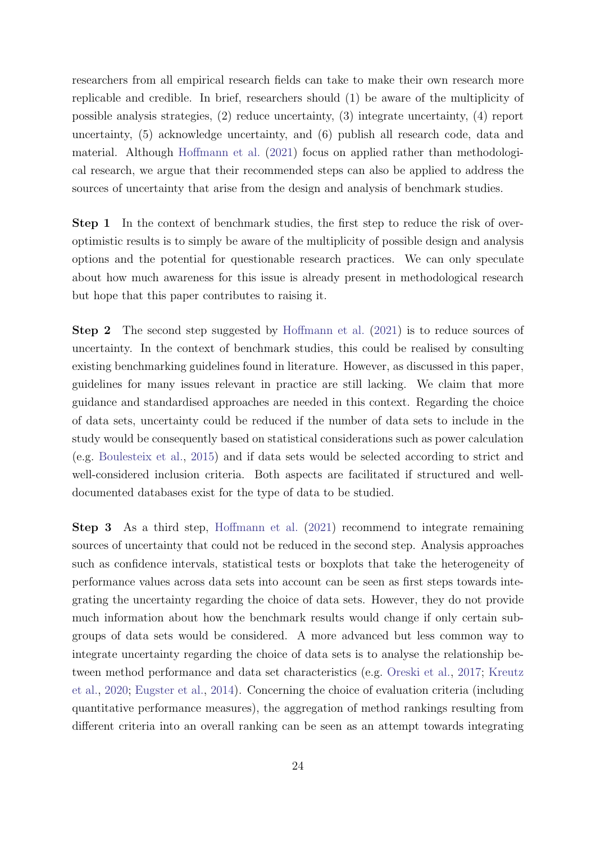researchers from all empirical research fields can take to make their own research more replicable and credible. In brief, researchers should (1) be aware of the multiplicity of possible analysis strategies, (2) reduce uncertainty, (3) integrate uncertainty, (4) report uncertainty, (5) acknowledge uncertainty, and (6) publish all research code, data and material. Although [Hoffmann et al.](#page-28-3) [\(2021\)](#page-28-3) focus on applied rather than methodological research, we argue that their recommended steps can also be applied to address the sources of uncertainty that arise from the design and analysis of benchmark studies.

Step 1 In the context of benchmark studies, the first step to reduce the risk of overoptimistic results is to simply be aware of the multiplicity of possible design and analysis options and the potential for questionable research practices. We can only speculate about how much awareness for this issue is already present in methodological research but hope that this paper contributes to raising it.

Step 2 The second step suggested by [Hoffmann et al.](#page-28-3) [\(2021\)](#page-28-3) is to reduce sources of uncertainty. In the context of benchmark studies, this could be realised by consulting existing benchmarking guidelines found in literature. However, as discussed in this paper, guidelines for many issues relevant in practice are still lacking. We claim that more guidance and standardised approaches are needed in this context. Regarding the choice of data sets, uncertainty could be reduced if the number of data sets to include in the study would be consequently based on statistical considerations such as power calculation (e.g. [Boulesteix et al.,](#page-26-4) [2015\)](#page-26-4) and if data sets would be selected according to strict and well-considered inclusion criteria. Both aspects are facilitated if structured and welldocumented databases exist for the type of data to be studied.

Step 3 As a third step, [Hoffmann et al.](#page-28-3) [\(2021\)](#page-28-3) recommend to integrate remaining sources of uncertainty that could not be reduced in the second step. Analysis approaches such as confidence intervals, statistical tests or boxplots that take the heterogeneity of performance values across data sets into account can be seen as first steps towards integrating the uncertainty regarding the choice of data sets. However, they do not provide much information about how the benchmark results would change if only certain subgroups of data sets would be considered. A more advanced but less common way to integrate uncertainty regarding the choice of data sets is to analyse the relationship between method performance and data set characteristics (e.g. [Oreski et al.,](#page-30-9) [2017;](#page-30-9) [Kreutz](#page-29-11) [et al.,](#page-29-11) [2020;](#page-29-11) [Eugster et al.,](#page-27-10) [2014\)](#page-27-10). Concerning the choice of evaluation criteria (including quantitative performance measures), the aggregation of method rankings resulting from different criteria into an overall ranking can be seen as an attempt towards integrating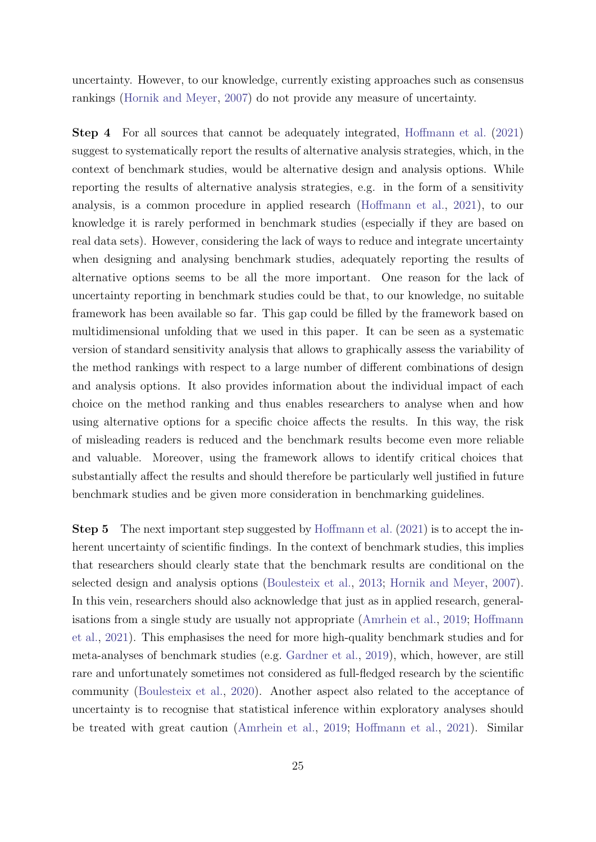uncertainty. However, to our knowledge, currently existing approaches such as consensus rankings [\(Hornik and Meyer,](#page-28-9) [2007\)](#page-28-9) do not provide any measure of uncertainty.

Step 4 For all sources that cannot be adequately integrated, [Hoffmann et al.](#page-28-3) [\(2021\)](#page-28-3) suggest to systematically report the results of alternative analysis strategies, which, in the context of benchmark studies, would be alternative design and analysis options. While reporting the results of alternative analysis strategies, e.g. in the form of a sensitivity analysis, is a common procedure in applied research [\(Hoffmann et al.,](#page-28-3) [2021\)](#page-28-3), to our knowledge it is rarely performed in benchmark studies (especially if they are based on real data sets). However, considering the lack of ways to reduce and integrate uncertainty when designing and analysing benchmark studies, adequately reporting the results of alternative options seems to be all the more important. One reason for the lack of uncertainty reporting in benchmark studies could be that, to our knowledge, no suitable framework has been available so far. This gap could be filled by the framework based on multidimensional unfolding that we used in this paper. It can be seen as a systematic version of standard sensitivity analysis that allows to graphically assess the variability of the method rankings with respect to a large number of different combinations of design and analysis options. It also provides information about the individual impact of each choice on the method ranking and thus enables researchers to analyse when and how using alternative options for a specific choice affects the results. In this way, the risk of misleading readers is reduced and the benchmark results become even more reliable and valuable. Moreover, using the framework allows to identify critical choices that substantially affect the results and should therefore be particularly well justified in future benchmark studies and be given more consideration in benchmarking guidelines.

**Step 5** The next important step suggested by [Hoffmann et al.](#page-28-3) [\(2021\)](#page-28-3) is to accept the inherent uncertainty of scientific findings. In the context of benchmark studies, this implies that researchers should clearly state that the benchmark results are conditional on the selected design and analysis options [\(Boulesteix et al.,](#page-26-0) [2013;](#page-26-0) [Hornik and Meyer,](#page-28-9) [2007\)](#page-28-9). In this vein, researchers should also acknowledge that just as in applied research, generalisations from a single study are usually not appropriate [\(Amrhein et al.,](#page-26-10) [2019;](#page-26-10) [Hoffmann](#page-28-3) [et al.,](#page-28-3) [2021\)](#page-28-3). This emphasises the need for more high-quality benchmark studies and for meta-analyses of benchmark studies (e.g. [Gardner et al.,](#page-28-10) [2019\)](#page-28-10), which, however, are still rare and unfortunately sometimes not considered as full-fledged research by the scientific community [\(Boulesteix et al.,](#page-26-11) [2020\)](#page-26-11). Another aspect also related to the acceptance of uncertainty is to recognise that statistical inference within exploratory analyses should be treated with great caution [\(Amrhein et al.,](#page-26-10) [2019;](#page-26-10) [Hoffmann et al.,](#page-28-3) [2021\)](#page-28-3). Similar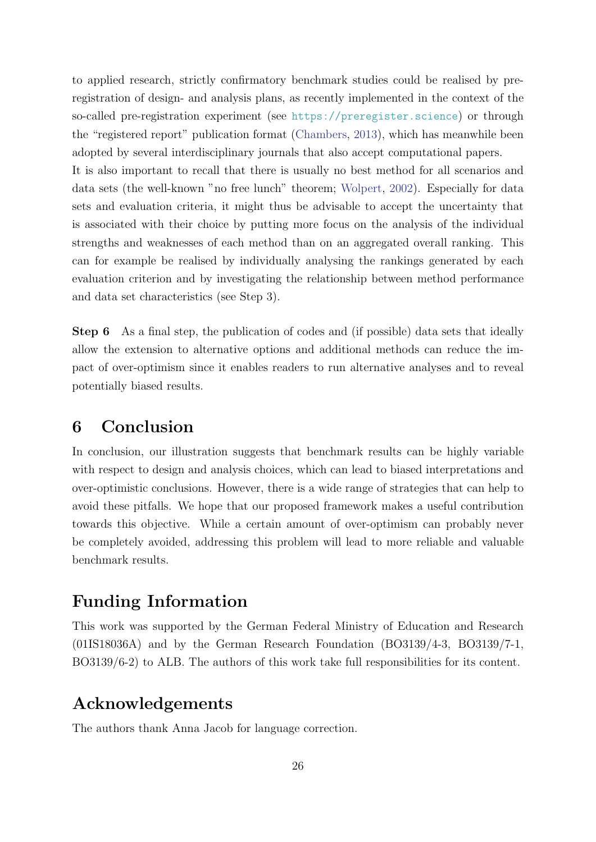to applied research, strictly confirmatory benchmark studies could be realised by preregistration of design- and analysis plans, as recently implemented in the context of the so-called pre-registration experiment (see <https://preregister.science>) or through the "registered report" publication format [\(Chambers,](#page-27-11) [2013\)](#page-27-11), which has meanwhile been adopted by several interdisciplinary journals that also accept computational papers.

It is also important to recall that there is usually no best method for all scenarios and data sets (the well-known "no free lunch" theorem; [Wolpert,](#page-30-10) [2002\)](#page-30-10). Especially for data sets and evaluation criteria, it might thus be advisable to accept the uncertainty that is associated with their choice by putting more focus on the analysis of the individual strengths and weaknesses of each method than on an aggregated overall ranking. This can for example be realised by individually analysing the rankings generated by each evaluation criterion and by investigating the relationship between method performance and data set characteristics (see Step 3).

Step 6 As a final step, the publication of codes and (if possible) data sets that ideally allow the extension to alternative options and additional methods can reduce the impact of over-optimism since it enables readers to run alternative analyses and to reveal potentially biased results.

# <span id="page-25-0"></span>6 Conclusion

In conclusion, our illustration suggests that benchmark results can be highly variable with respect to design and analysis choices, which can lead to biased interpretations and over-optimistic conclusions. However, there is a wide range of strategies that can help to avoid these pitfalls. We hope that our proposed framework makes a useful contribution towards this objective. While a certain amount of over-optimism can probably never be completely avoided, addressing this problem will lead to more reliable and valuable benchmark results.

# Funding Information

This work was supported by the German Federal Ministry of Education and Research (01IS18036A) and by the German Research Foundation (BO3139/4-3, BO3139/7-1, BO3139/6-2) to ALB. The authors of this work take full responsibilities for its content.

# Acknowledgements

The authors thank Anna Jacob for language correction.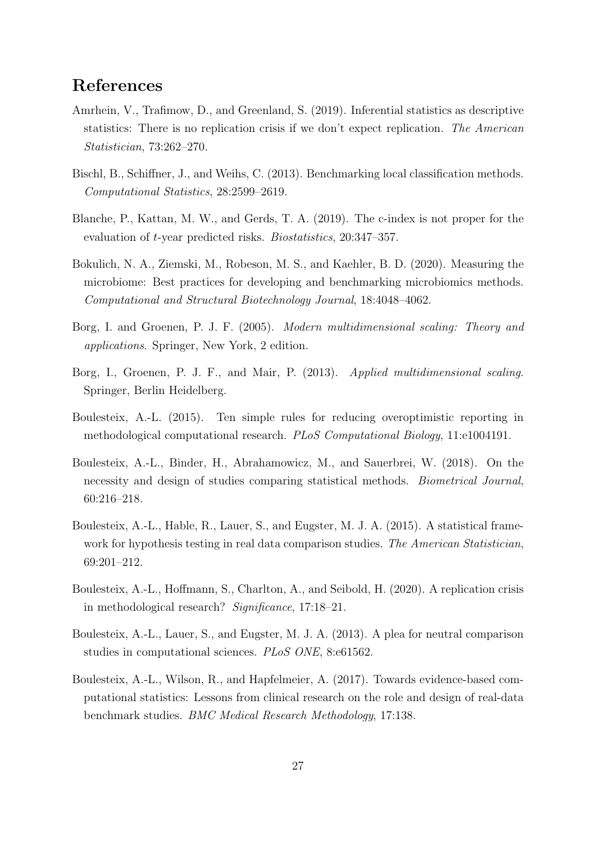# References

- <span id="page-26-10"></span>Amrhein, V., Trafimow, D., and Greenland, S. (2019). Inferential statistics as descriptive statistics: There is no replication crisis if we don't expect replication. The American Statistician, 73:262–270.
- <span id="page-26-8"></span>Bischl, B., Schiffner, J., and Weihs, C. (2013). Benchmarking local classification methods. Computational Statistics, 28:2599–2619.
- <span id="page-26-7"></span>Blanche, P., Kattan, M. W., and Gerds, T. A. (2019). The c-index is not proper for the evaluation of t-year predicted risks. Biostatistics, 20:347–357.
- <span id="page-26-5"></span>Bokulich, N. A., Ziemski, M., Robeson, M. S., and Kaehler, B. D. (2020). Measuring the microbiome: Best practices for developing and benchmarking microbiomics methods. Computational and Structural Biotechnology Journal, 18:4048–4062.
- <span id="page-26-6"></span>Borg, I. and Groenen, P. J. F. (2005). Modern multidimensional scaling: Theory and applications. Springer, New York, 2 edition.
- <span id="page-26-9"></span>Borg, I., Groenen, P. J. F., and Mair, P. (2013). Applied multidimensional scaling. Springer, Berlin Heidelberg.
- <span id="page-26-3"></span>Boulesteix, A.-L. (2015). Ten simple rules for reducing overoptimistic reporting in methodological computational research. PLoS Computational Biology, 11:e1004191.
- <span id="page-26-2"></span>Boulesteix, A.-L., Binder, H., Abrahamowicz, M., and Sauerbrei, W. (2018). On the necessity and design of studies comparing statistical methods. Biometrical Journal, 60:216–218.
- <span id="page-26-4"></span>Boulesteix, A.-L., Hable, R., Lauer, S., and Eugster, M. J. A. (2015). A statistical framework for hypothesis testing in real data comparison studies. The American Statistician, 69:201–212.
- <span id="page-26-11"></span>Boulesteix, A.-L., Hoffmann, S., Charlton, A., and Seibold, H. (2020). A replication crisis in methodological research? Significance, 17:18–21.
- <span id="page-26-0"></span>Boulesteix, A.-L., Lauer, S., and Eugster, M. J. A. (2013). A plea for neutral comparison studies in computational sciences. PLoS ONE, 8:e61562.
- <span id="page-26-1"></span>Boulesteix, A.-L., Wilson, R., and Hapfelmeier, A. (2017). Towards evidence-based computational statistics: Lessons from clinical research on the role and design of real-data benchmark studies. BMC Medical Research Methodology, 17:138.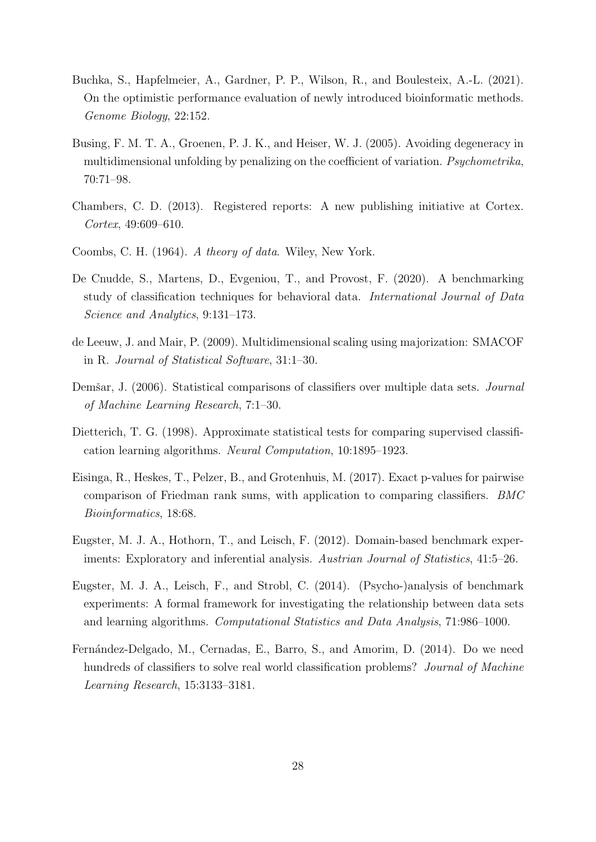- <span id="page-27-0"></span>Buchka, S., Hapfelmeier, A., Gardner, P. P., Wilson, R., and Boulesteix, A.-L. (2021). On the optimistic performance evaluation of newly introduced bioinformatic methods. Genome Biology, 22:152.
- <span id="page-27-9"></span>Busing, F. M. T. A., Groenen, P. J. K., and Heiser, W. J. (2005). Avoiding degeneracy in multidimensional unfolding by penalizing on the coefficient of variation. Psychometrika, 70:71–98.
- <span id="page-27-11"></span>Chambers, C. D. (2013). Registered reports: A new publishing initiative at Cortex. Cortex, 49:609–610.
- <span id="page-27-7"></span>Coombs, C. H. (1964). A theory of data. Wiley, New York.
- <span id="page-27-5"></span>De Cnudde, S., Martens, D., Evgeniou, T., and Provost, F. (2020). A benchmarking study of classification techniques for behavioral data. International Journal of Data Science and Analytics, 9:131–173.
- <span id="page-27-8"></span>de Leeuw, J. and Mair, P. (2009). Multidimensional scaling using majorization: SMACOF in R. Journal of Statistical Software, 31:1–30.
- <span id="page-27-1"></span>Demšar, J. (2006). Statistical comparisons of classifiers over multiple data sets. *Journal* of Machine Learning Research, 7:1–30.
- <span id="page-27-3"></span>Dietterich, T. G. (1998). Approximate statistical tests for comparing supervised classification learning algorithms. Neural Computation, 10:1895–1923.
- <span id="page-27-4"></span>Eisinga, R., Heskes, T., Pelzer, B., and Grotenhuis, M. (2017). Exact p-values for pairwise comparison of Friedman rank sums, with application to comparing classifiers. BMC Bioinformatics, 18:68.
- <span id="page-27-2"></span>Eugster, M. J. A., Hothorn, T., and Leisch, F. (2012). Domain-based benchmark experiments: Exploratory and inferential analysis. Austrian Journal of Statistics, 41:5–26.
- <span id="page-27-10"></span>Eugster, M. J. A., Leisch, F., and Strobl, C. (2014). (Psycho-)analysis of benchmark experiments: A formal framework for investigating the relationship between data sets and learning algorithms. Computational Statistics and Data Analysis, 71:986–1000.
- <span id="page-27-6"></span>Fernández-Delgado, M., Cernadas, E., Barro, S., and Amorim, D. (2014). Do we need hundreds of classifiers to solve real world classification problems? *Journal of Machine* Learning Research, 15:3133–3181.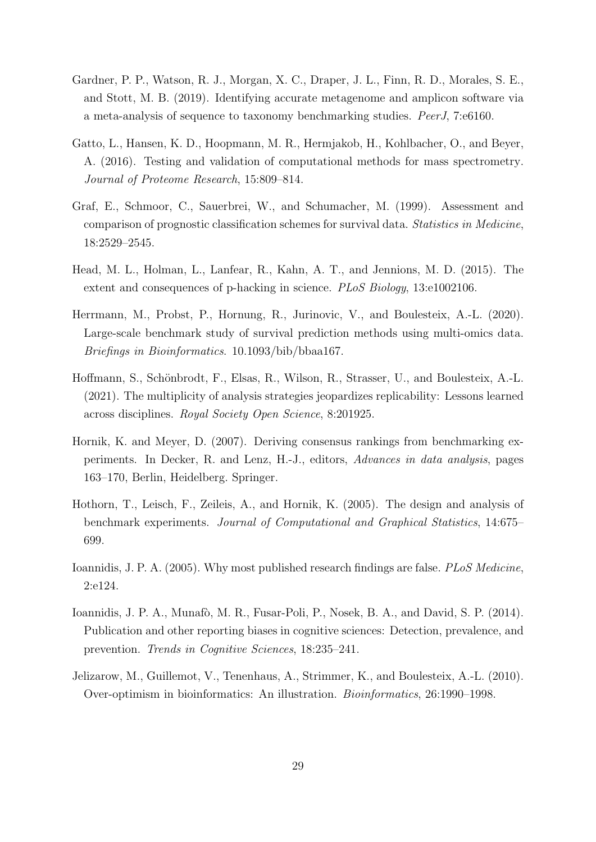- <span id="page-28-10"></span>Gardner, P. P., Watson, R. J., Morgan, X. C., Draper, J. L., Finn, R. D., Morales, S. E., and Stott, M. B. (2019). Identifying accurate metagenome and amplicon software via a meta-analysis of sequence to taxonomy benchmarking studies. PeerJ, 7:e6160.
- <span id="page-28-7"></span>Gatto, L., Hansen, K. D., Hoopmann, M. R., Hermjakob, H., Kohlbacher, O., and Beyer, A. (2016). Testing and validation of computational methods for mass spectrometry. Journal of Proteome Research, 15:809–814.
- <span id="page-28-8"></span>Graf, E., Schmoor, C., Sauerbrei, W., and Schumacher, M. (1999). Assessment and comparison of prognostic classification schemes for survival data. Statistics in Medicine, 18:2529–2545.
- <span id="page-28-4"></span>Head, M. L., Holman, L., Lanfear, R., Kahn, A. T., and Jennions, M. D. (2015). The extent and consequences of p-hacking in science. PLoS Biology, 13:e1002106.
- <span id="page-28-6"></span>Herrmann, M., Probst, P., Hornung, R., Jurinovic, V., and Boulesteix, A.-L. (2020). Large-scale benchmark study of survival prediction methods using multi-omics data. Briefings in Bioinformatics. 10.1093/bib/bbaa167.
- <span id="page-28-3"></span>Hoffmann, S., Schönbrodt, F., Elsas, R., Wilson, R., Strasser, U., and Boulesteix, A.-L. (2021). The multiplicity of analysis strategies jeopardizes replicability: Lessons learned across disciplines. Royal Society Open Science, 8:201925.
- <span id="page-28-9"></span>Hornik, K. and Meyer, D. (2007). Deriving consensus rankings from benchmarking experiments. In Decker, R. and Lenz, H.-J., editors, Advances in data analysis, pages 163–170, Berlin, Heidelberg. Springer.
- <span id="page-28-0"></span>Hothorn, T., Leisch, F., Zeileis, A., and Hornik, K. (2005). The design and analysis of benchmark experiments. Journal of Computational and Graphical Statistics, 14:675– 699.
- <span id="page-28-2"></span>Ioannidis, J. P. A. (2005). Why most published research findings are false. PLoS Medicine, 2:e124.
- <span id="page-28-1"></span>Ioannidis, J. P. A., Munafò, M. R., Fusar-Poli, P., Nosek, B. A., and David, S. P. (2014). Publication and other reporting biases in cognitive sciences: Detection, prevalence, and prevention. Trends in Cognitive Sciences, 18:235–241.
- <span id="page-28-5"></span>Jelizarow, M., Guillemot, V., Tenenhaus, A., Strimmer, K., and Boulesteix, A.-L. (2010). Over-optimism in bioinformatics: An illustration. Bioinformatics, 26:1990–1998.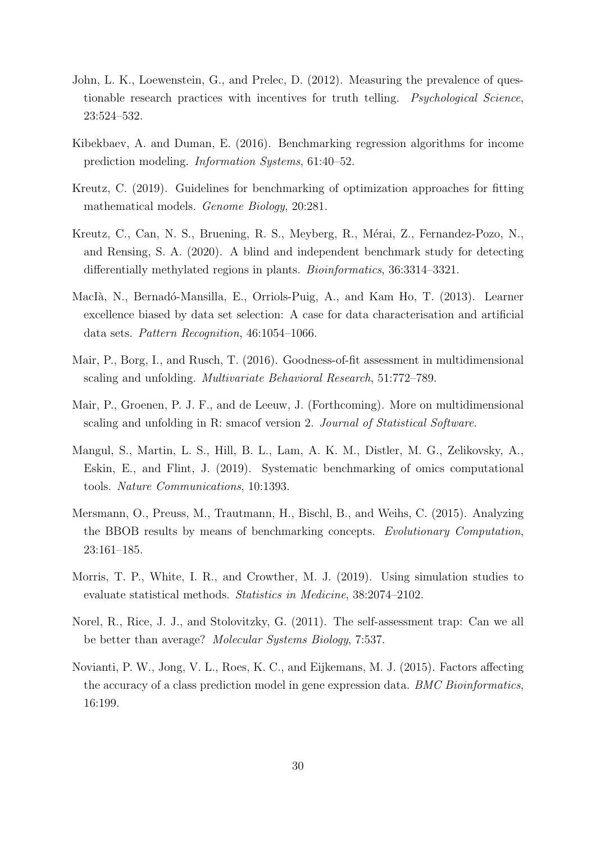- <span id="page-29-3"></span>John, L. K., Loewenstein, G., and Prelec, D. (2012). Measuring the prevalence of questionable research practices with incentives for truth telling. Psychological Science, 23:524–532.
- <span id="page-29-8"></span>Kibekbaev, A. and Duman, E. (2016). Benchmarking regression algorithms for income prediction modeling. Information Systems, 61:40–52.
- <span id="page-29-2"></span>Kreutz, C. (2019). Guidelines for benchmarking of optimization approaches for fitting mathematical models. Genome Biology, 20:281.
- <span id="page-29-11"></span>Kreutz, C., Can, N. S., Bruening, R. S., Meyberg, R., Mérai, Z., Fernandez-Pozo, N., and Rensing, S. A. (2020). A blind and independent benchmark study for detecting differentially methylated regions in plants. *Bioinformatics*, 36:3314–3321.
- <span id="page-29-4"></span>MacIà, N., Bernadó-Mansilla, E., Orriols-Puig, A., and Kam Ho, T. (2013). Learner excellence biased by data set selection: A case for data characterisation and artificial data sets. Pattern Recognition, 46:1054–1066.
- <span id="page-29-10"></span>Mair, P., Borg, I., and Rusch, T. (2016). Goodness-of-fit assessment in multidimensional scaling and unfolding. Multivariate Behavioral Research, 51:772–789.
- <span id="page-29-9"></span>Mair, P., Groenen, P. J. F., and de Leeuw, J. (Forthcoming). More on multidimensional scaling and unfolding in R: smacof version 2. Journal of Statistical Software.
- <span id="page-29-1"></span>Mangul, S., Martin, L. S., Hill, B. L., Lam, A. K. M., Distler, M. G., Zelikovsky, A., Eskin, E., and Flint, J. (2019). Systematic benchmarking of omics computational tools. Nature Communications, 10:1393.
- <span id="page-29-7"></span>Mersmann, O., Preuss, M., Trautmann, H., Bischl, B., and Weihs, C. (2015). Analyzing the BBOB results by means of benchmarking concepts. Evolutionary Computation, 23:161–185.
- <span id="page-29-6"></span>Morris, T. P., White, I. R., and Crowther, M. J. (2019). Using simulation studies to evaluate statistical methods. Statistics in Medicine, 38:2074–2102.
- <span id="page-29-0"></span>Norel, R., Rice, J. J., and Stolovitzky, G. (2011). The self-assessment trap: Can we all be better than average? Molecular Systems Biology, 7:537.
- <span id="page-29-5"></span>Novianti, P. W., Jong, V. L., Roes, K. C., and Eijkemans, M. J. (2015). Factors affecting the accuracy of a class prediction model in gene expression data. *BMC Bioinformatics*, 16:199.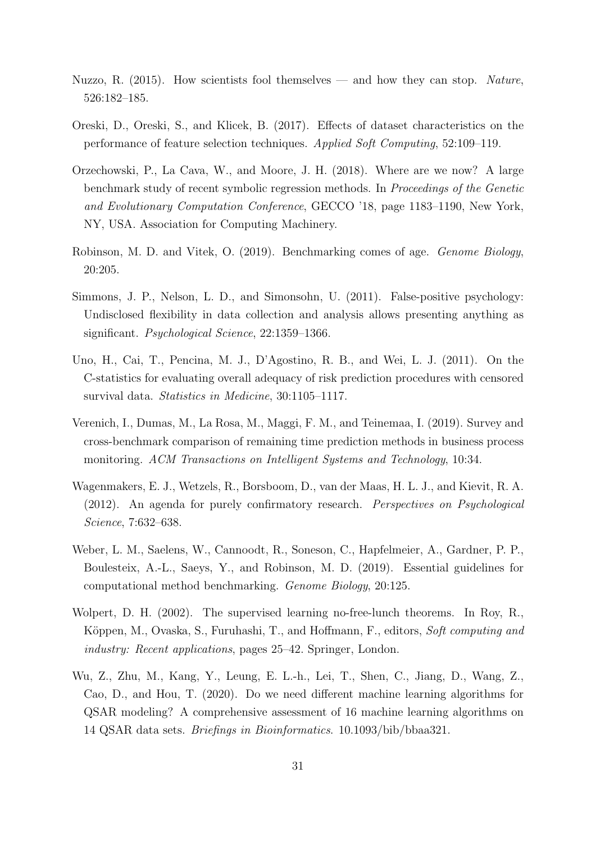- <span id="page-30-1"></span>Nuzzo, R. (2015). How scientists fool themselves — and how they can stop. Nature, 526:182–185.
- <span id="page-30-9"></span>Oreski, D., Oreski, S., and Klicek, B. (2017). Effects of dataset characteristics on the performance of feature selection techniques. Applied Soft Computing, 52:109–119.
- <span id="page-30-7"></span>Orzechowski, P., La Cava, W., and Moore, J. H. (2018). Where are we now? A large benchmark study of recent symbolic regression methods. In Proceedings of the Genetic and Evolutionary Computation Conference, GECCO '18, page 1183–1190, New York, NY, USA. Association for Computing Machinery.
- <span id="page-30-4"></span>Robinson, M. D. and Vitek, O. (2019). Benchmarking comes of age. Genome Biology, 20:205.
- <span id="page-30-2"></span>Simmons, J. P., Nelson, L. D., and Simonsohn, U. (2011). False-positive psychology: Undisclosed flexibility in data collection and analysis allows presenting anything as significant. Psychological Science, 22:1359–1366.
- <span id="page-30-5"></span>Uno, H., Cai, T., Pencina, M. J., D'Agostino, R. B., and Wei, L. J. (2011). On the C-statistics for evaluating overall adequacy of risk prediction procedures with censored survival data. Statistics in Medicine, 30:1105–1117.
- <span id="page-30-6"></span>Verenich, I., Dumas, M., La Rosa, M., Maggi, F. M., and Teinemaa, I. (2019). Survey and cross-benchmark comparison of remaining time prediction methods in business process monitoring. ACM Transactions on Intelligent Systems and Technology, 10:34.
- <span id="page-30-3"></span>Wagenmakers, E. J., Wetzels, R., Borsboom, D., van der Maas, H. L. J., and Kievit, R. A. (2012). An agenda for purely confirmatory research. Perspectives on Psychological Science, 7:632–638.
- <span id="page-30-0"></span>Weber, L. M., Saelens, W., Cannoodt, R., Soneson, C., Hapfelmeier, A., Gardner, P. P., Boulesteix, A.-L., Saeys, Y., and Robinson, M. D. (2019). Essential guidelines for computational method benchmarking. Genome Biology, 20:125.
- <span id="page-30-10"></span>Wolpert, D. H. (2002). The supervised learning no-free-lunch theorems. In Roy, R., Köppen, M., Ovaska, S., Furuhashi, T., and Hoffmann, F., editors, Soft computing and industry: Recent applications, pages 25–42. Springer, London.
- <span id="page-30-8"></span>Wu, Z., Zhu, M., Kang, Y., Leung, E. L.-h., Lei, T., Shen, C., Jiang, D., Wang, Z., Cao, D., and Hou, T. (2020). Do we need different machine learning algorithms for QSAR modeling? A comprehensive assessment of 16 machine learning algorithms on 14 QSAR data sets. Briefings in Bioinformatics. 10.1093/bib/bbaa321.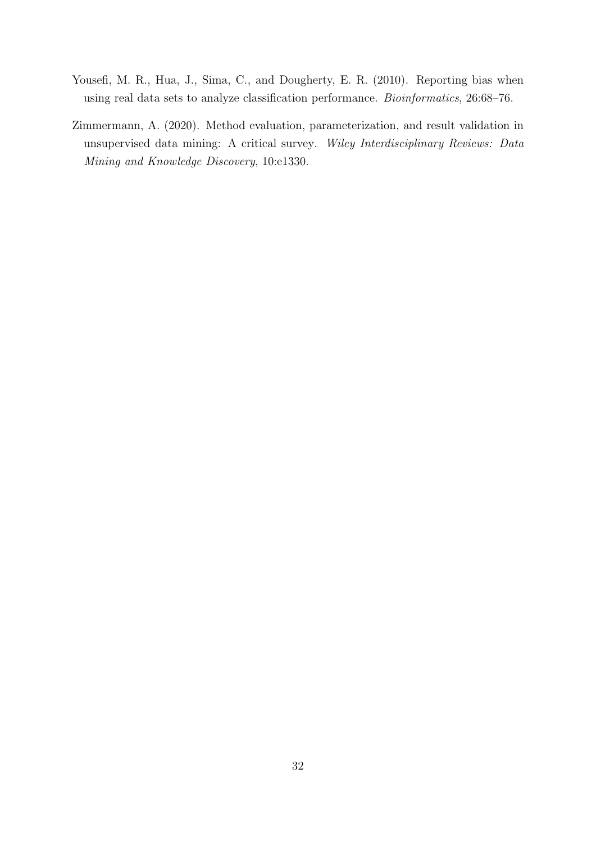- <span id="page-31-1"></span>Yousefi, M. R., Hua, J., Sima, C., and Dougherty, E. R. (2010). Reporting bias when using real data sets to analyze classification performance. Bioinformatics, 26:68–76.
- <span id="page-31-0"></span>Zimmermann, A. (2020). Method evaluation, parameterization, and result validation in unsupervised data mining: A critical survey. Wiley Interdisciplinary Reviews: Data Mining and Knowledge Discovery, 10:e1330.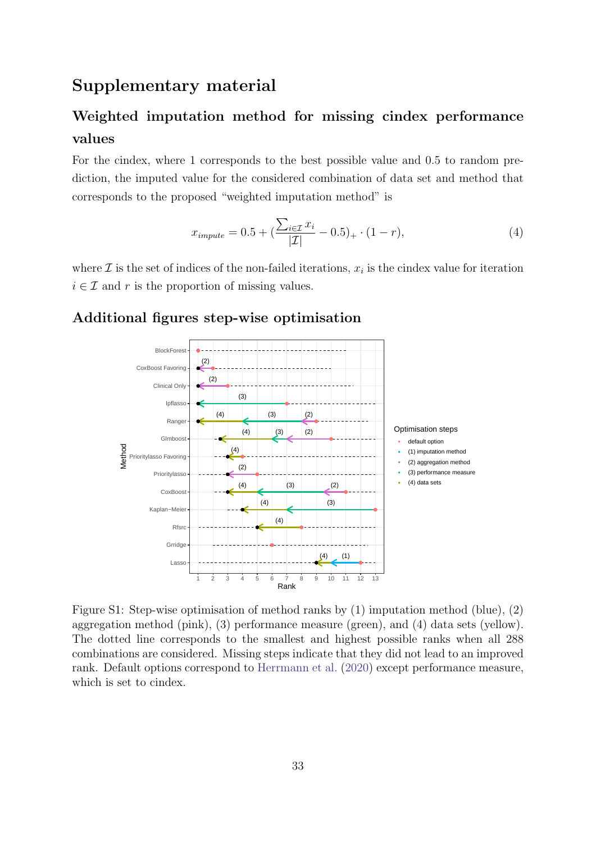# Supplementary material

# Weighted imputation method for missing cindex performance values

For the cindex, where 1 corresponds to the best possible value and 0.5 to random prediction, the imputed value for the considered combination of data set and method that corresponds to the proposed "weighted imputation method" is

$$
x_{impute} = 0.5 + \left(\frac{\sum_{i \in \mathcal{I}} x_i}{|\mathcal{I}|} - 0.5\right)_+ \cdot (1 - r),\tag{4}
$$

where  $\mathcal I$  is the set of indices of the non-failed iterations,  $x_i$  is the cindex value for iteration  $i \in \mathcal{I}$  and r is the proportion of missing values.



#### <span id="page-32-0"></span>Additional figures step-wise optimisation

Figure S1: Step-wise optimisation of method ranks by (1) imputation method (blue), (2) aggregation method (pink), (3) performance measure (green), and (4) data sets (yellow). The dotted line corresponds to the smallest and highest possible ranks when all 288 combinations are considered. Missing steps indicate that they did not lead to an improved rank. Default options correspond to [Herrmann et al.](#page-28-6) [\(2020\)](#page-28-6) except performance measure, which is set to cindex.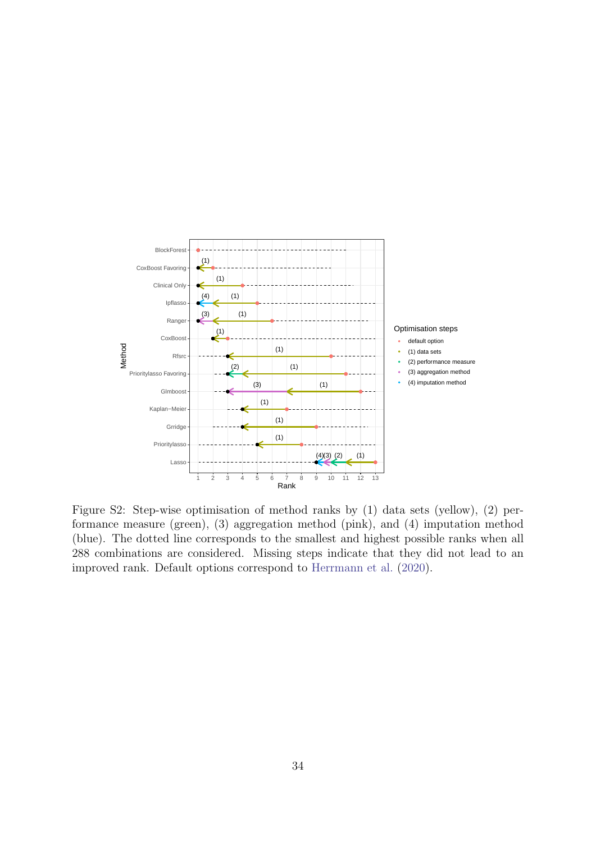<span id="page-33-0"></span>

Figure S2: Step-wise optimisation of method ranks by (1) data sets (yellow), (2) performance measure (green), (3) aggregation method (pink), and (4) imputation method (blue). The dotted line corresponds to the smallest and highest possible ranks when all 288 combinations are considered. Missing steps indicate that they did not lead to an improved rank. Default options correspond to [Herrmann et al.](#page-28-6) [\(2020\)](#page-28-6).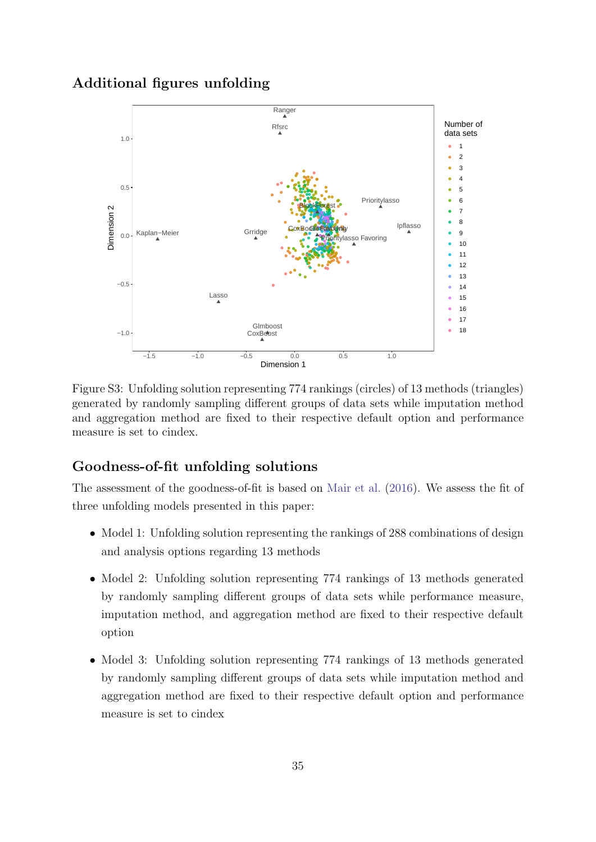## <span id="page-34-0"></span>Additional figures unfolding



Figure S3: Unfolding solution representing 774 rankings (circles) of 13 methods (triangles) generated by randomly sampling different groups of data sets while imputation method and aggregation method are fixed to their respective default option and performance measure is set to cindex.

## Goodness-of-fit unfolding solutions

The assessment of the goodness-of-fit is based on [Mair et al.](#page-29-10) [\(2016\)](#page-29-10). We assess the fit of three unfolding models presented in this paper:

- Model 1: Unfolding solution representing the rankings of 288 combinations of design and analysis options regarding 13 methods
- Model 2: Unfolding solution representing 774 rankings of 13 methods generated by randomly sampling different groups of data sets while performance measure, imputation method, and aggregation method are fixed to their respective default option
- Model 3: Unfolding solution representing 774 rankings of 13 methods generated by randomly sampling different groups of data sets while imputation method and aggregation method are fixed to their respective default option and performance measure is set to cindex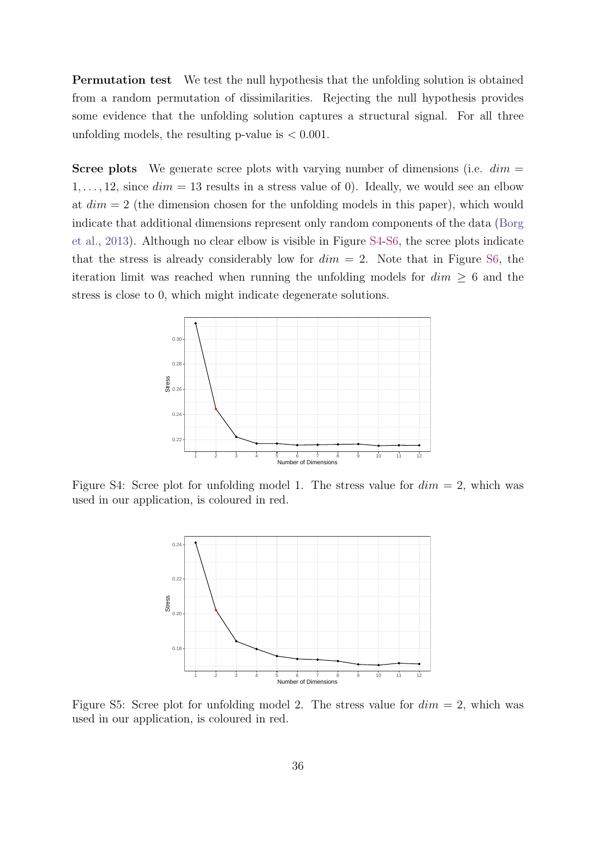Permutation test We test the null hypothesis that the unfolding solution is obtained from a random permutation of dissimilarities. Rejecting the null hypothesis provides some evidence that the unfolding solution captures a structural signal. For all three unfolding models, the resulting p-value is  $< 0.001$ .

**Scree plots** We generate scree plots with varying number of dimensions (i.e.  $dim =$  $1, \ldots, 12$ , since  $dim = 13$  results in a stress value of 0). Ideally, we would see an elbow at  $dim = 2$  (the dimension chosen for the unfolding models in this paper), which would indicate that additional dimensions represent only random components of the data [\(Borg](#page-26-9) [et al.,](#page-26-9) [2013\)](#page-26-9). Although no clear elbow is visible in Figure [S4-](#page-35-0)[S6,](#page-36-0) the scree plots indicate that the stress is already considerably low for  $dim = 2$ . Note that in Figure [S6,](#page-36-0) the iteration limit was reached when running the unfolding models for  $dim \geq 6$  and the stress is close to 0, which might indicate degenerate solutions.

<span id="page-35-0"></span>

Figure S4: Scree plot for unfolding model 1. The stress value for  $dim = 2$ , which was used in our application, is coloured in red.



Figure S5: Scree plot for unfolding model 2. The stress value for  $dim = 2$ , which was used in our application, is coloured in red.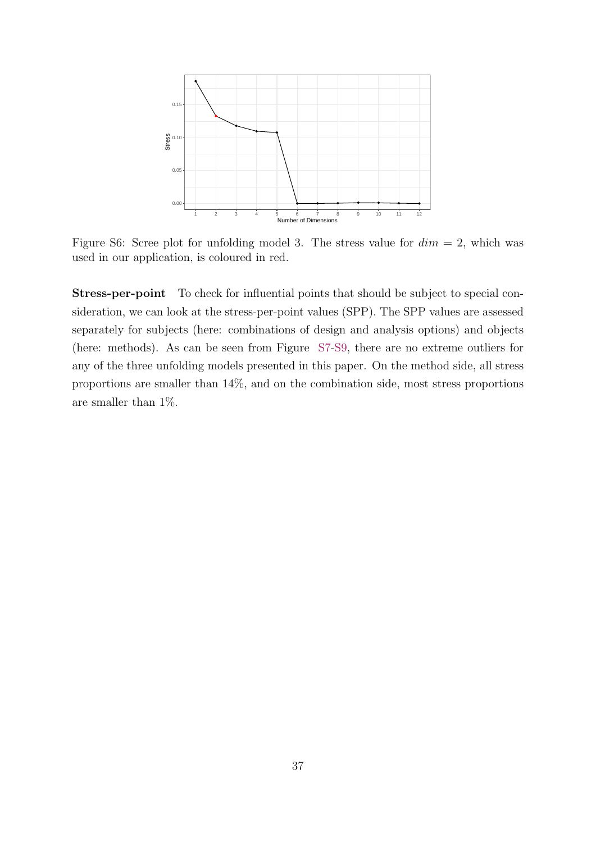<span id="page-36-0"></span>

Figure S6: Scree plot for unfolding model 3. The stress value for  $dim = 2$ , which was used in our application, is coloured in red.

Stress-per-point To check for influential points that should be subject to special consideration, we can look at the stress-per-point values (SPP). The SPP values are assessed separately for subjects (here: combinations of design and analysis options) and objects (here: methods). As can be seen from Figure [S7](#page-37-0)[-S9,](#page-38-0) there are no extreme outliers for any of the three unfolding models presented in this paper. On the method side, all stress proportions are smaller than 14%, and on the combination side, most stress proportions are smaller than 1%.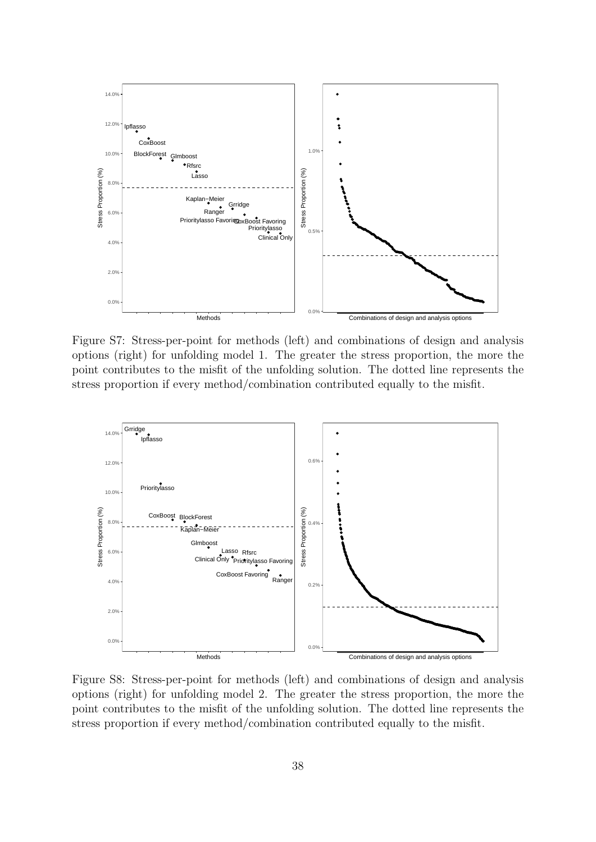<span id="page-37-0"></span>

Figure S7: Stress-per-point for methods (left) and combinations of design and analysis options (right) for unfolding model 1. The greater the stress proportion, the more the point contributes to the misfit of the unfolding solution. The dotted line represents the stress proportion if every method/combination contributed equally to the misfit.



Figure S8: Stress-per-point for methods (left) and combinations of design and analysis options (right) for unfolding model 2. The greater the stress proportion, the more the point contributes to the misfit of the unfolding solution. The dotted line represents the stress proportion if every method/combination contributed equally to the misfit.